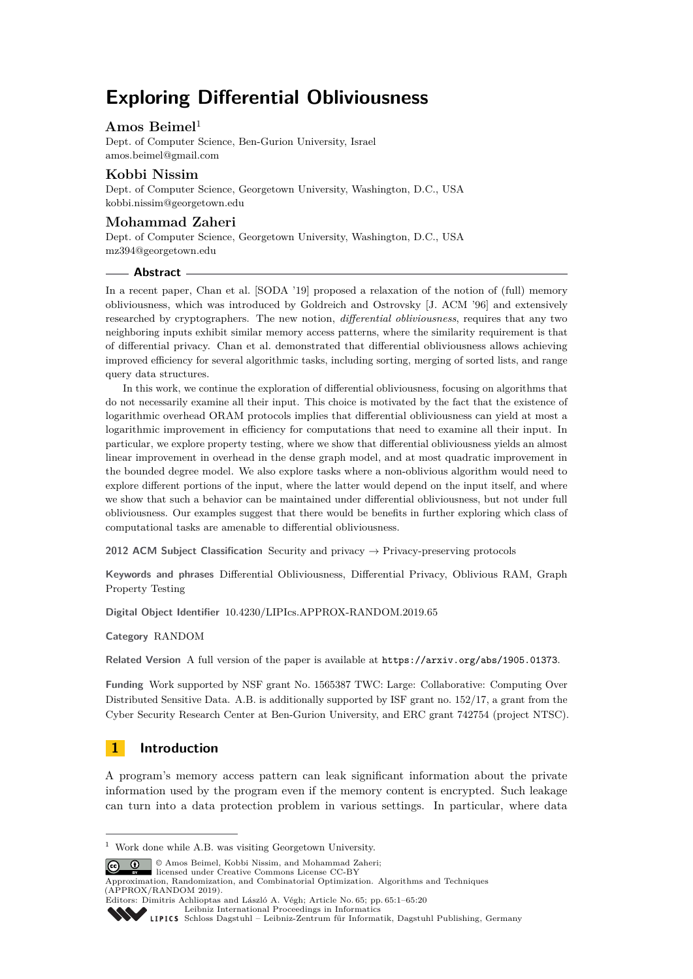# **Exploring Differential Obliviousness**

# **Amos Beimel**<sup>1</sup>

Dept. of Computer Science, Ben-Gurion University, Israel [amos.beimel@gmail.com](mailto:amos.beimel@gmail.com)

# **Kobbi Nissim**

Dept. of Computer Science, Georgetown University, Washington, D.C., USA [kobbi.nissim@georgetown.edu](mailto:kobbi.nissim@georgetown.edu)

## **Mohammad Zaheri**

Dept. of Computer Science, Georgetown University, Washington, D.C., USA [mz394@georgetown.edu](mailto:mz394@georgetown.edu)

#### **Abstract**

In a recent paper, Chan et al. [SODA '19] proposed a relaxation of the notion of (full) memory obliviousness, which was introduced by Goldreich and Ostrovsky [J. ACM '96] and extensively researched by cryptographers. The new notion, *differential obliviousness*, requires that any two neighboring inputs exhibit similar memory access patterns, where the similarity requirement is that of differential privacy. Chan et al. demonstrated that differential obliviousness allows achieving improved efficiency for several algorithmic tasks, including sorting, merging of sorted lists, and range query data structures.

In this work, we continue the exploration of differential obliviousness, focusing on algorithms that do not necessarily examine all their input. This choice is motivated by the fact that the existence of logarithmic overhead ORAM protocols implies that differential obliviousness can yield at most a logarithmic improvement in efficiency for computations that need to examine all their input. In particular, we explore property testing, where we show that differential obliviousness yields an almost linear improvement in overhead in the dense graph model, and at most quadratic improvement in the bounded degree model. We also explore tasks where a non-oblivious algorithm would need to explore different portions of the input, where the latter would depend on the input itself, and where we show that such a behavior can be maintained under differential obliviousness, but not under full obliviousness. Our examples suggest that there would be benefits in further exploring which class of computational tasks are amenable to differential obliviousness.

**2012 ACM Subject Classification** Security and privacy → Privacy-preserving protocols

**Keywords and phrases** Differential Obliviousness, Differential Privacy, Oblivious RAM, Graph Property Testing

**Digital Object Identifier** [10.4230/LIPIcs.APPROX-RANDOM.2019.65](https://doi.org/10.4230/LIPIcs.APPROX-RANDOM.2019.65)

#### **Category** RANDOM

**Related Version** A full version of the paper is available at <https://arxiv.org/abs/1905.01373>.

**Funding** Work supported by NSF grant No. 1565387 TWC: Large: Collaborative: Computing Over Distributed Sensitive Data. A.B. is additionally supported by ISF grant no. 152/17, a grant from the Cyber Security Research Center at Ben-Gurion University, and ERC grant 742754 (project NTSC).

# **1 Introduction**

A program's memory access pattern can leak significant information about the private information used by the program even if the memory content is encrypted. Such leakage can turn into a data protection problem in various settings. In particular, where data

© Amos Beimel, Kobbi Nissim, and Mohammad Zaheri;

licensed under Creative Commons License CC-BY

<sup>1</sup> Work done while A.B. was visiting Georgetown University.

Approximation, Randomization, and Combinatorial Optimization. Algorithms and Techniques (APPROX/RANDOM 2019).

Editors: Dimitris Achlioptas and László A. Végh; Article No. 65; pp. 65:1–65[:20](#page-19-0) [Leibniz International Proceedings in Informatics](https://www.dagstuhl.de/lipics/)

[Schloss Dagstuhl – Leibniz-Zentrum für Informatik, Dagstuhl Publishing, Germany](https://www.dagstuhl.de)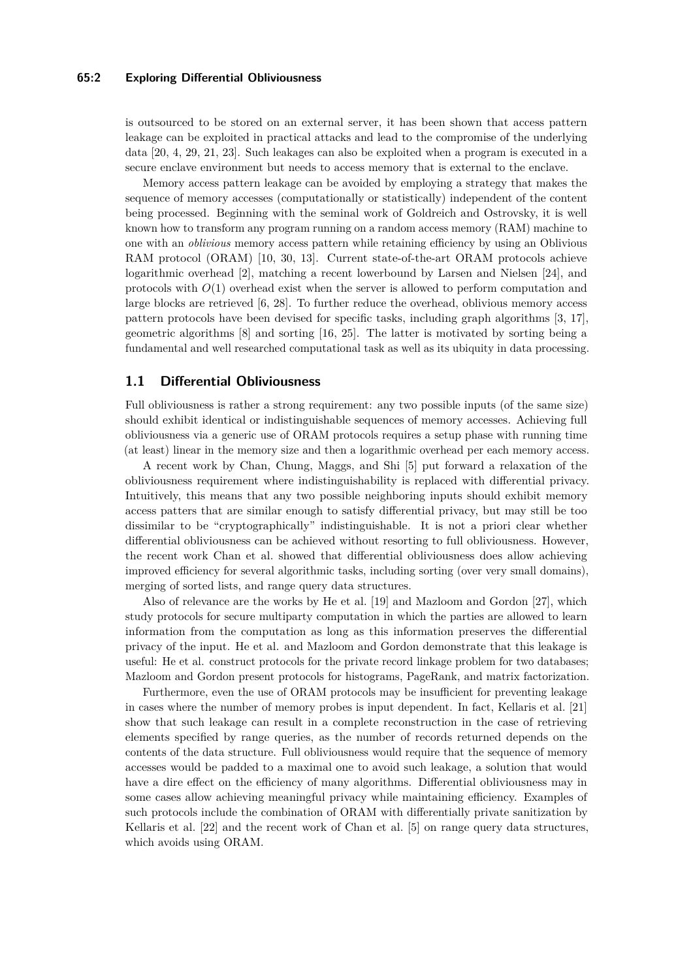#### **65:2 Exploring Differential Obliviousness**

is outsourced to be stored on an external server, it has been shown that access pattern leakage can be exploited in practical attacks and lead to the compromise of the underlying data [\[20,](#page-14-0) [4,](#page-13-0) [29,](#page-14-1) [21,](#page-14-2) [23\]](#page-14-3). Such leakages can also be exploited when a program is executed in a secure enclave environment but needs to access memory that is external to the enclave.

Memory access pattern leakage can be avoided by employing a strategy that makes the sequence of memory accesses (computationally or statistically) independent of the content being processed. Beginning with the seminal work of Goldreich and Ostrovsky, it is well known how to transform any program running on a random access memory (RAM) machine to one with an *oblivious* memory access pattern while retaining efficiency by using an Oblivious RAM protocol (ORAM) [\[10,](#page-13-1) [30,](#page-15-0) [13\]](#page-13-2). Current state-of-the-art ORAM protocols achieve logarithmic overhead [\[2\]](#page-13-3), matching a recent lowerbound by Larsen and Nielsen [\[24\]](#page-14-4), and protocols with *O*(1) overhead exist when the server is allowed to perform computation and large blocks are retrieved [\[6,](#page-13-4) [28\]](#page-14-5). To further reduce the overhead, oblivious memory access pattern protocols have been devised for specific tasks, including graph algorithms [\[3,](#page-13-5) [17\]](#page-14-6), geometric algorithms [\[8\]](#page-13-6) and sorting [\[16,](#page-13-7) [25\]](#page-14-7). The latter is motivated by sorting being a fundamental and well researched computational task as well as its ubiquity in data processing.

### **1.1 Differential Obliviousness**

Full obliviousness is rather a strong requirement: any two possible inputs (of the same size) should exhibit identical or indistinguishable sequences of memory accesses. Achieving full obliviousness via a generic use of ORAM protocols requires a setup phase with running time (at least) linear in the memory size and then a logarithmic overhead per each memory access.

A recent work by Chan, Chung, Maggs, and Shi [\[5\]](#page-13-8) put forward a relaxation of the obliviousness requirement where indistinguishability is replaced with differential privacy. Intuitively, this means that any two possible neighboring inputs should exhibit memory access patters that are similar enough to satisfy differential privacy, but may still be too dissimilar to be "cryptographically" indistinguishable. It is not a priori clear whether differential obliviousness can be achieved without resorting to full obliviousness. However, the recent work Chan et al. showed that differential obliviousness does allow achieving improved efficiency for several algorithmic tasks, including sorting (over very small domains), merging of sorted lists, and range query data structures.

Also of relevance are the works by He et al. [\[19\]](#page-14-8) and Mazloom and Gordon [\[27\]](#page-14-9), which study protocols for secure multiparty computation in which the parties are allowed to learn information from the computation as long as this information preserves the differential privacy of the input. He et al. and Mazloom and Gordon demonstrate that this leakage is useful: He et al. construct protocols for the private record linkage problem for two databases; Mazloom and Gordon present protocols for histograms, PageRank, and matrix factorization.

Furthermore, even the use of ORAM protocols may be insufficient for preventing leakage in cases where the number of memory probes is input dependent. In fact, Kellaris et al. [\[21\]](#page-14-2) show that such leakage can result in a complete reconstruction in the case of retrieving elements specified by range queries, as the number of records returned depends on the contents of the data structure. Full obliviousness would require that the sequence of memory accesses would be padded to a maximal one to avoid such leakage, a solution that would have a dire effect on the efficiency of many algorithms. Differential obliviousness may in some cases allow achieving meaningful privacy while maintaining efficiency. Examples of such protocols include the combination of ORAM with differentially private sanitization by Kellaris et al. [\[22\]](#page-14-10) and the recent work of Chan et al. [\[5\]](#page-13-8) on range query data structures, which avoids using ORAM.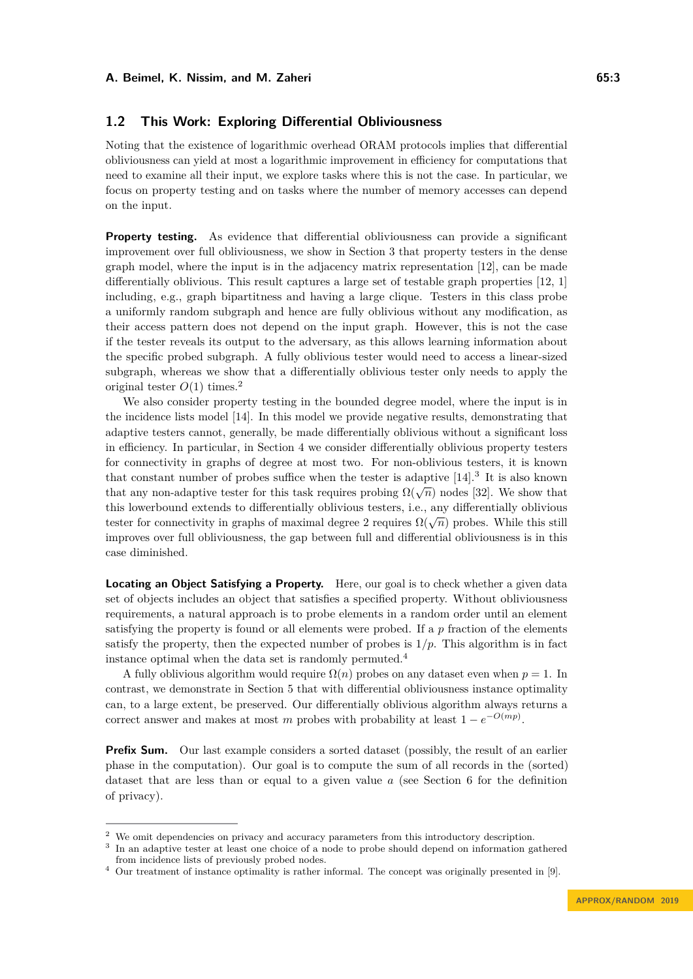### **1.2 This Work: Exploring Differential Obliviousness**

Noting that the existence of logarithmic overhead ORAM protocols implies that differential obliviousness can yield at most a logarithmic improvement in efficiency for computations that need to examine all their input, we explore tasks where this is not the case. In particular, we focus on property testing and on tasks where the number of memory accesses can depend on the input.

**Property testing.** As evidence that differential obliviousness can provide a significant improvement over full obliviousness, we show in Section [3](#page-5-0) that property testers in the dense graph model, where the input is in the adjacency matrix representation [\[12\]](#page-13-9), can be made differentially oblivious. This result captures a large set of testable graph properties [\[12,](#page-13-9) [1\]](#page-13-10) including, e.g., graph bipartitness and having a large clique. Testers in this class probe a uniformly random subgraph and hence are fully oblivious without any modification, as their access pattern does not depend on the input graph. However, this is not the case if the tester reveals its output to the adversary, as this allows learning information about the specific probed subgraph. A fully oblivious tester would need to access a linear-sized subgraph, whereas we show that a differentially oblivious tester only needs to apply the original tester  $O(1)$  times.<sup>[2](#page-2-0)</sup>

We also consider property testing in the bounded degree model, where the input is in the incidence lists model [\[14\]](#page-13-11). In this model we provide negative results, demonstrating that adaptive testers cannot, generally, be made differentially oblivious without a significant loss in efficiency. In particular, in Section [4](#page-6-0) we consider differentially oblivious property testers for connectivity in graphs of degree at most two. For non-oblivious testers, it is known that constant number of probes suffice when the tester is adaptive  $[14]$ .<sup>[3](#page-2-1)</sup> It is also known that any non-adaptive tester for this task requires probing  $\Omega(\sqrt{n})$  nodes [\[32\]](#page-15-1). We show that this lowerbound extends to differentially oblivious testers, i.e., any differentially oblivious tester for connectivity in graphs of maximal degree 2 requires  $\Omega(\sqrt{n})$  probes. While this still improves over full obliviousness, the gap between full and differential obliviousness is in this case diminished.

**Locating an Object Satisfying a Property.** Here, our goal is to check whether a given data set of objects includes an object that satisfies a specified property. Without obliviousness requirements, a natural approach is to probe elements in a random order until an element satisfying the property is found or all elements were probed. If a *p* fraction of the elements satisfy the property, then the expected number of probes is  $1/p$ . This algorithm is in fact instance optimal when the data set is randomly permuted.[4](#page-2-2)

A fully oblivious algorithm would require  $\Omega(n)$  probes on any dataset even when  $p = 1$ . In contrast, we demonstrate in Section [5](#page-9-0) that with differential obliviousness instance optimality can, to a large extent, be preserved. Our differentially oblivious algorithm always returns a correct answer and makes at most *m* probes with probability at least  $1 - e^{-O(mp)}$ .

**Prefix Sum.** Our last example considers a sorted dataset (possibly, the result of an earlier phase in the computation). Our goal is to compute the sum of all records in the (sorted) dataset that are less than or equal to a given value *a* (see Section [6](#page-10-0) for the definition of privacy).

<span id="page-2-0"></span> $^2\,$  We omit dependencies on privacy and accuracy parameters from this introductory description.

<span id="page-2-1"></span><sup>&</sup>lt;sup>3</sup> In an adaptive tester at least one choice of a node to probe should depend on information gathered from incidence lists of previously probed nodes.

<span id="page-2-2"></span><sup>4</sup> Our treatment of instance optimality is rather informal. The concept was originally presented in [\[9\]](#page-13-12).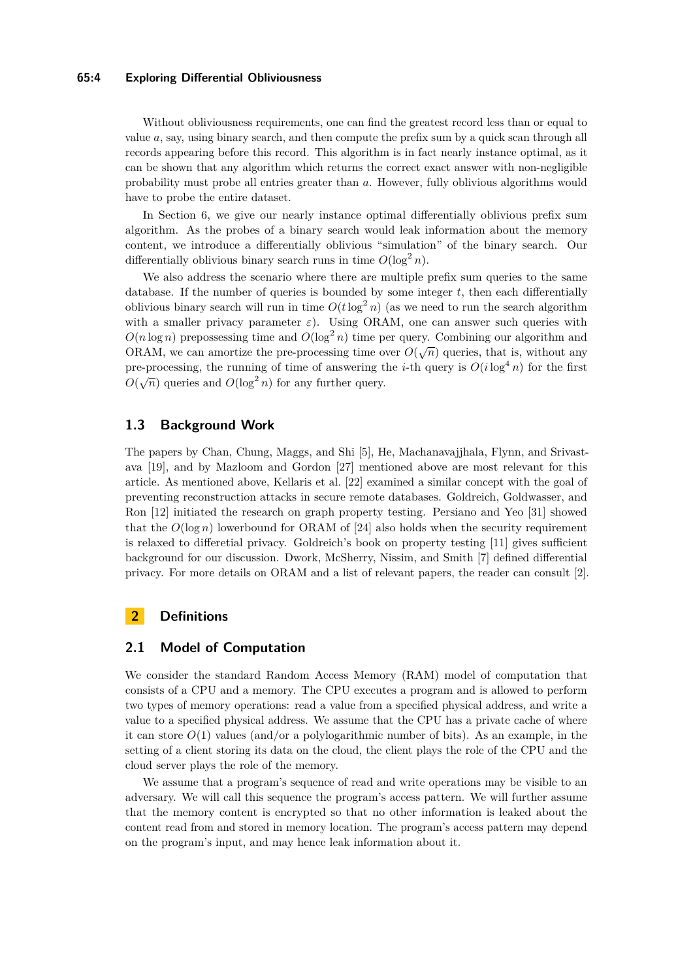#### **65:4 Exploring Differential Obliviousness**

Without obliviousness requirements, one can find the greatest record less than or equal to value *a*, say, using binary search, and then compute the prefix sum by a quick scan through all records appearing before this record. This algorithm is in fact nearly instance optimal, as it can be shown that any algorithm which returns the correct exact answer with non-negligible probability must probe all entries greater than *a*. However, fully oblivious algorithms would have to probe the entire dataset.

In Section [6,](#page-10-0) we give our nearly instance optimal differentially oblivious prefix sum algorithm. As the probes of a binary search would leak information about the memory content, we introduce a differentially oblivious "simulation" of the binary search. Our differentially oblivious binary search runs in time  $O(\log^2 n)$ .

We also address the scenario where there are multiple prefix sum queries to the same database. If the number of queries is bounded by some integer *t*, then each differentially oblivious binary search will run in time  $O(t \log^2 n)$  (as we need to run the search algorithm with a smaller privacy parameter  $\varepsilon$ ). Using ORAM, one can answer such queries with  $O(n \log n)$  prepossessing time and  $O(\log^2 n)$  time per query. Combining our algorithm and ORAM, we can amortize the pre-processing time over  $O(\sqrt{n})$  queries, that is, without any ORAM, we can amortize the pre-processing time over  $O(\sqrt{n})$  queries, that is, without any pre-processing, the running of time of answering the *i*-th query is  $O(i \log^4 n)$  for the first  $O(\sqrt{n})$  queries and  $O(\log^2 n)$  for any further query.

## **1.3 Background Work**

The papers by Chan, Chung, Maggs, and Shi [\[5\]](#page-13-8), He, Machanavajjhala, Flynn, and Srivastava [\[19\]](#page-14-8), and by Mazloom and Gordon [\[27\]](#page-14-9) mentioned above are most relevant for this article. As mentioned above, Kellaris et al. [\[22\]](#page-14-10) examined a similar concept with the goal of preventing reconstruction attacks in secure remote databases. Goldreich, Goldwasser, and Ron [\[12\]](#page-13-9) initiated the research on graph property testing. Persiano and Yeo [\[31\]](#page-15-2) showed that the  $O(\log n)$  lowerbound for ORAM of [\[24\]](#page-14-4) also holds when the security requirement is relaxed to differetial privacy. Goldreich's book on property testing [\[11\]](#page-13-13) gives sufficient background for our discussion. Dwork, McSherry, Nissim, and Smith [\[7\]](#page-13-14) defined differential privacy. For more details on ORAM and a list of relevant papers, the reader can consult [\[2\]](#page-13-3).

### **2 Definitions**

### **2.1 Model of Computation**

We consider the standard Random Access Memory (RAM) model of computation that consists of a CPU and a memory. The CPU executes a program and is allowed to perform two types of memory operations: read a value from a specified physical address, and write a value to a specified physical address. We assume that the CPU has a private cache of where it can store  $O(1)$  values (and/or a polylogarithmic number of bits). As an example, in the setting of a client storing its data on the cloud, the client plays the role of the CPU and the cloud server plays the role of the memory.

We assume that a program's sequence of read and write operations may be visible to an adversary. We will call this sequence the program's access pattern. We will further assume that the memory content is encrypted so that no other information is leaked about the content read from and stored in memory location. The program's access pattern may depend on the program's input, and may hence leak information about it.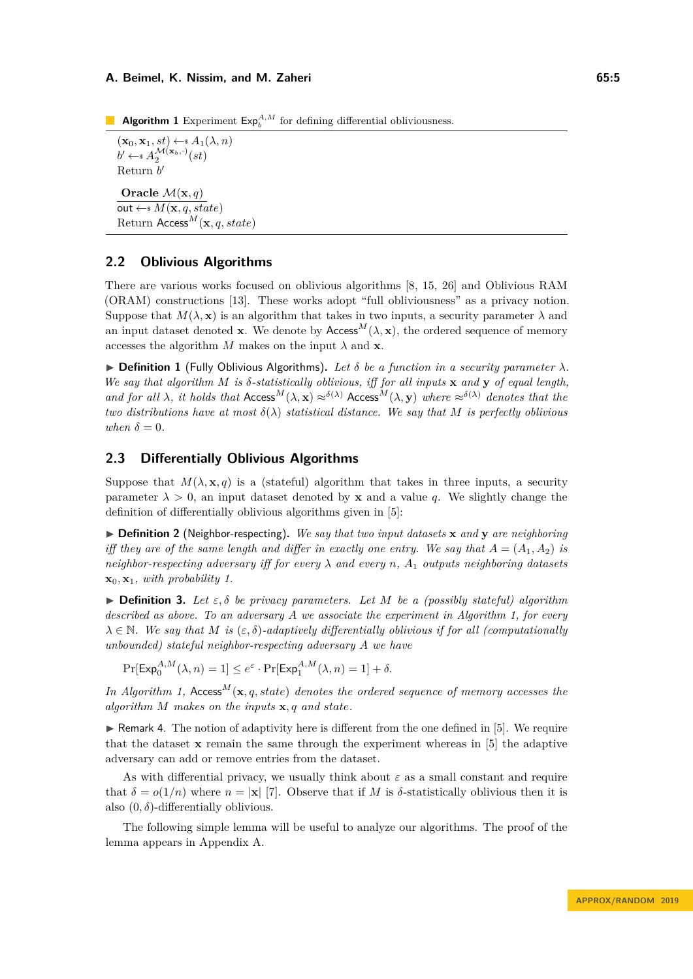<span id="page-4-0"></span>**Algorithm 1** Experiment  $\mathsf{Exp}_{b}^{A,M}$  for defining differential obliviousness.

 $(\mathbf{x}_0, \mathbf{x}_1, st) \leftarrow s A_1(\lambda, n)$  $b' \leftarrow \mathscr{A}_2^{\mathcal{M}(\mathbf{x}_b,\cdot)}(st)$ Return *b* 0 **Oracle**  $\mathcal{M}(\mathbf{x}, q)$  $\overline{\text{out} \leftarrow^* M(\mathbf{x}, q, state)}$ Return Access*M*(**x***, q, state*)

### **2.2 Oblivious Algorithms**

There are various works focused on oblivious algorithms [\[8,](#page-13-6) [15,](#page-13-15) [26\]](#page-14-11) and Oblivious RAM (ORAM) constructions [\[13\]](#page-13-2). These works adopt "full obliviousness" as a privacy notion. Suppose that  $M(\lambda, \mathbf{x})$  is an algorithm that takes in two inputs, a security parameter  $\lambda$  and an input dataset denoted **x**. We denote by  $\text{Access}^M(\lambda, \mathbf{x})$ , the ordered sequence of memory accesses the algorithm *M* makes on the input  $\lambda$  and **x**.

 $\triangleright$  **Definition 1** (Fully Oblivious Algorithms). Let  $\delta$  be a function in a security parameter  $\lambda$ . *We say that algorithm M is δ-statistically oblivious, iff for all inputs* **x** *and* **y** *of equal length, and for all*  $\lambda$ *, it holds that* Access<sup>M</sup>( $\lambda$ , **x**)  $\approx$ <sup> $\delta(\lambda)$ </sup> Access<sup>M</sup>( $\lambda$ , **y**) *where*  $\approx$ <sup> $\delta(\lambda)$ </sup> *denotes that the two distributions have at most*  $\delta(\lambda)$  *statistical distance. We say that M is perfectly oblivious when*  $\delta = 0$ *.* 

# **2.3 Differentially Oblivious Algorithms**

Suppose that  $M(\lambda, \mathbf{x}, q)$  is a (stateful) algorithm that takes in three inputs, a security parameter  $\lambda > 0$ , an input dataset denoted by **x** and a value q. We slightly change the definition of differentially oblivious algorithms given in [\[5\]](#page-13-8):

 $\triangleright$  **Definition 2** (Neighbor-respecting). We say that two input datasets **x** and **y** are neighboring *iff they are of the same length and differ in exactly one entry. We say that*  $A = (A_1, A_2)$  *is neighbor-respecting adversary iff for every λ and every n, A*<sup>1</sup> *outputs neighboring datasets*  $\mathbf{x}_0, \mathbf{x}_1$ *, with probability 1.* 

 $\triangleright$  **Definition 3.** Let  $\varepsilon, \delta$  be privacy parameters. Let M be a (possibly stateful) algorithm *described as above. To an adversary A we associate the experiment in Algorithm [1,](#page-4-0) for every*  $\lambda \in \mathbb{N}$ *. We say that M is* ( $\varepsilon$ ,  $\delta$ )*-adaptively differentially oblivious if for all (computationally unbounded) stateful neighbor-respecting adversary A we have*

 $Pr[Exp_0^{A,M}(\lambda,n) = 1] \le e^{\varepsilon} \cdot Pr[Exp_1^{A,M}(\lambda,n) = 1] + \delta.$ 

In Algorithm [1,](#page-4-0) Access<sup>M</sup>( $\mathbf{x}, q$ , state) denotes the ordered sequence of memory accesses the *algorithm M makes on the inputs* **x***, q and state.*

 $\triangleright$  Remark 4. The notion of adaptivity here is different from the one defined in [\[5\]](#page-13-8). We require that the dataset **x** remain the same through the experiment whereas in [\[5\]](#page-13-8) the adaptive adversary can add or remove entries from the dataset.

As with differential privacy, we usually think about  $\varepsilon$  as a small constant and require that  $\delta = o(1/n)$  where  $n = |\mathbf{x}|$  [\[7\]](#page-13-14). Observe that if *M* is  $\delta$ -statistically oblivious then it is also  $(0, \delta)$ -differentially oblivious.

<span id="page-4-1"></span>The following simple lemma will be useful to analyze our algorithms. The proof of the lemma appears in Appendix [A.](#page-15-3)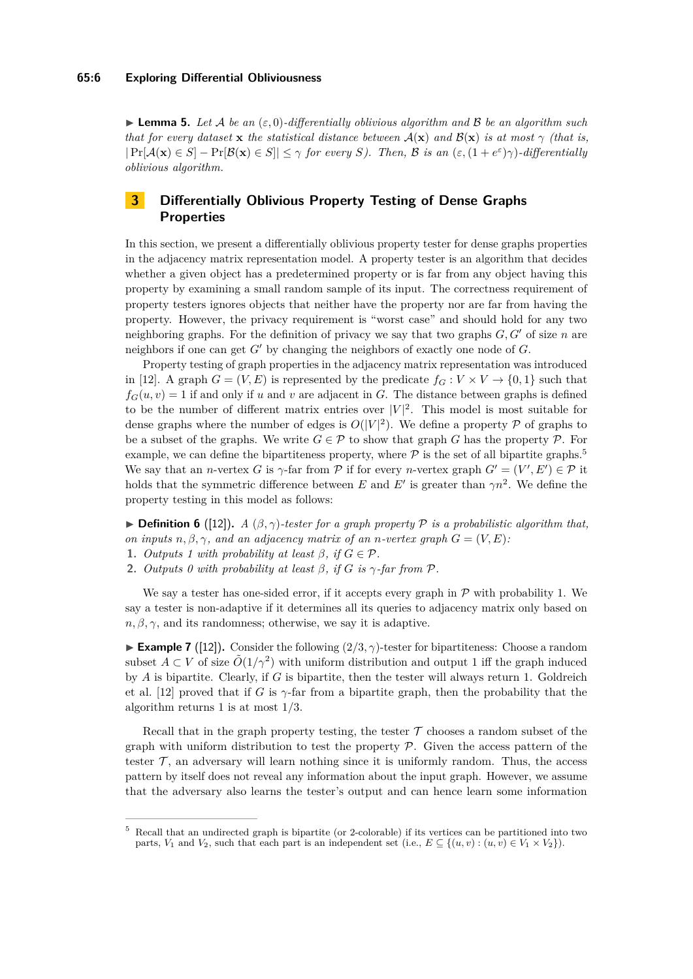$\blacktriangleright$  **Lemma 5.** Let A be an  $(\varepsilon, 0)$ -differentially oblivious algorithm and B be an algorithm such *that for every dataset* **x** *the statistical distance between*  $A(\mathbf{x})$  *and*  $B(\mathbf{x})$  *is at most*  $\gamma$  *(that is,*  $|\Pr[\mathcal{A}(\mathbf{x}) \in S] - \Pr[\mathcal{B}(\mathbf{x}) \in S]| \leq \gamma$  *for every S*). Then, B is an  $(\varepsilon, (1 + e^{\varepsilon})\gamma)$ -differentially *oblivious algorithm.*

# <span id="page-5-0"></span>**3 Differentially Oblivious Property Testing of Dense Graphs Properties**

In this section, we present a differentially oblivious property tester for dense graphs properties in the adjacency matrix representation model. A property tester is an algorithm that decides whether a given object has a predetermined property or is far from any object having this property by examining a small random sample of its input. The correctness requirement of property testers ignores objects that neither have the property nor are far from having the property. However, the privacy requirement is "worst case" and should hold for any two neighboring graphs. For the definition of privacy we say that two graphs  $G, G'$  of size  $n$  are neighbors if one can get  $G'$  by changing the neighbors of exactly one node of  $G$ .

Property testing of graph properties in the adjacency matrix representation was introduced in [\[12\]](#page-13-9). A graph  $G = (V, E)$  is represented by the predicate  $f_G: V \times V \rightarrow \{0, 1\}$  such that  $f_G(u, v) = 1$  if and only if *u* and *v* are adjacent in *G*. The distance between graphs is defined to be the number of different matrix entries over  $|V|^2$ . This model is most suitable for dense graphs where the number of edges is  $O(|V|^2)$ . We define a property  $P$  of graphs to be a subset of the graphs. We write  $G \in \mathcal{P}$  to show that graph *G* has the property  $\mathcal{P}$ . For example, we can define the bipartiteness property, where  $P$  is the set of all bipartite graphs.<sup>[5](#page-5-1)</sup> We say that an *n*-vertex *G* is  $\gamma$ -far from  $\mathcal P$  if for every *n*-vertex graph  $G' = (V', E') \in \mathcal P$  it holds that the symmetric difference between *E* and *E'* is greater than  $\gamma n^2$ . We define the property testing in this model as follows:

<span id="page-5-2"></span> $\triangleright$  **Definition 6** ([\[12\]](#page-13-9)). *A* ( $\beta$ , $\gamma$ )-tester for a graph property  $\mathcal P$  is a probabilistic algorithm that, *on inputs*  $n, \beta, \gamma$ *, and an adjacency matrix of an n-vertex graph*  $G = (V, E)$ *:* 

- **1.** *Outputs 1 with probability at least*  $\beta$ , *if*  $G \in \mathcal{P}$ .
- **2.** *Outputs 0 with probability at least*  $\beta$ *, if*  $G$  *is*  $\gamma$ -far from  $\mathcal{P}$ *.*

We say a tester has one-sided error, if it accepts every graph in  $P$  with probability 1. We say a tester is non-adaptive if it determines all its queries to adjacency matrix only based on  $n, \beta, \gamma$ , and its randomness; otherwise, we say it is adaptive.

**Example 7** ([\[12\]](#page-13-9)). Consider the following  $(2/3, \gamma)$ -tester for bipartiteness: Choose a random subset  $A \subset V$  of size  $O(1/\gamma^2)$  with uniform distribution and output 1 iff the graph induced by *A* is bipartite. Clearly, if *G* is bipartite, then the tester will always return 1. Goldreich et al. [\[12\]](#page-13-9) proved that if *G* is  $\gamma$ -far from a bipartite graph, then the probability that the algorithm returns 1 is at most 1*/*3.

Recall that in the graph property testing, the tester  $\mathcal T$  chooses a random subset of the graph with uniform distribution to test the property  $P$ . Given the access pattern of the tester  $\mathcal{T}$ , an adversary will learn nothing since it is uniformly random. Thus, the access pattern by itself does not reveal any information about the input graph. However, we assume that the adversary also learns the tester's output and can hence learn some information

<span id="page-5-1"></span><sup>5</sup> Recall that an undirected graph is bipartite (or 2-colorable) if its vertices can be partitioned into two parts, *V*<sub>1</sub> and *V*<sub>2</sub>, such that each part is an independent set (i.e.,  $E \subseteq \{(u, v) : (u, v) \in V_1 \times V_2\}$ ).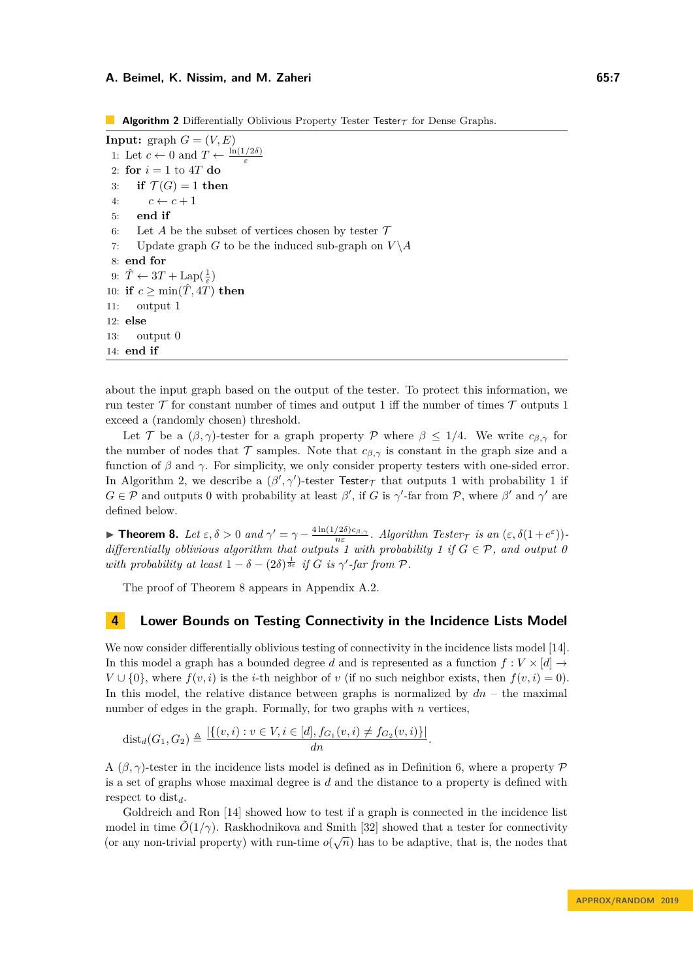<span id="page-6-1"></span>**Algorithm 2** Differentially Oblivious Property Tester Tester $\tau$  for Dense Graphs.

<span id="page-6-5"></span><span id="page-6-4"></span>**Input:** graph  $G = (V, E)$ 1: Let  $c \leftarrow 0$  and  $T \leftarrow \frac{\ln(1/2\delta)}{\varepsilon}$ 2: **for**  $i = 1$  to  $4T$  **do** 3: **if**  $\mathcal{T}(G) = 1$  **then** 4:  $c \leftarrow c + 1$ 5: **end if** 6: Let A be the subset of vertices chosen by tester  $\mathcal T$ 7: Update graph *G* to be the induced sub-graph on  $V \setminus A$ 8: **end for** 9:  $\hat{T} \leftarrow 3T + \text{Lap}(\frac{1}{\varepsilon})$ 10: **if**  $c \ge \min(\hat{T}, 4\hat{T})$  **then** 11: output 1 12: **else** 13: output 0 14: **end if**

<span id="page-6-3"></span>about the input graph based on the output of the tester. To protect this information, we run tester  $\mathcal T$  for constant number of times and output 1 iff the number of times  $\mathcal T$  outputs 1 exceed a (randomly chosen) threshold.

Let T be a  $(\beta, \gamma)$ -tester for a graph property P where  $\beta \leq 1/4$ . We write  $c_{\beta, \gamma}$  for the number of nodes that  $\mathcal T$  samples. Note that  $c_{\beta,\gamma}$  is constant in the graph size and a function of *β* and *γ*. For simplicity, we only consider property testers with one-sided error. In Algorithm [2,](#page-6-1) we describe a  $(\beta', \gamma')$ -tester Tester<sub>T</sub> that outputs 1 with probability 1 if  $G \in \mathcal{P}$  and outputs 0 with probability at least  $\beta'$ , if *G* is  $\gamma'$ -far from  $\mathcal{P}$ , where  $\beta'$  and  $\gamma'$  are defined below.

<span id="page-6-2"></span>**Theorem 8.** Let  $\varepsilon, \delta > 0$  and  $\gamma' = \gamma - \frac{4 \ln(1/2\delta)c_{\beta,\gamma}}{n\varepsilon}$ . Algorithm Tester  $\tau$  is an  $(\varepsilon, \delta(1 + e^{\varepsilon}))$ . *differentially oblivious algorithm that outputs 1 with probability 1 if*  $G \in \mathcal{P}$ *, and output 0 with probability at least*  $1 - \delta - (2\delta)^{\frac{1}{3\varepsilon}}$  *if G is*  $\gamma'$ -*far from*  $\mathcal{P}$ *.* 

The proof of Theorem [8](#page-6-2) appears in Appendix [A.2.](#page-15-4)

# <span id="page-6-0"></span>**4 Lower Bounds on Testing Connectivity in the Incidence Lists Model**

We now consider differentially oblivious testing of connectivity in the incidence lists model [\[14\]](#page-13-11). In this model a graph has a bounded degree *d* and is represented as a function  $f: V \times [d] \rightarrow$ *V* ∪ {0}, where  $f(v, i)$  is the *i*-th neighbor of *v* (if no such neighbor exists, then  $f(v, i) = 0$ ). In this model, the relative distance between graphs is normalized by *dn* – the maximal number of edges in the graph. Formally, for two graphs with *n* vertices,

$$
dist_d(G_1, G_2) \triangleq \frac{|\{(v, i) : v \in V, i \in [d], f_{G_1}(v, i) \neq f_{G_2}(v, i)\}|}{dn}.
$$

A  $(\beta, \gamma)$ -tester in the incidence lists model is defined as in Definition [6,](#page-5-2) where a property P is a set of graphs whose maximal degree is *d* and the distance to a property is defined with respect to dist*d*.

Goldreich and Ron [\[14\]](#page-13-11) showed how to test if a graph is connected in the incidence list model in time  $\tilde{O}(1/\gamma)$ . Raskhodnikova and Smith [\[32\]](#page-15-1) showed that a tester for connectivity (or any non-trivial property) with run-time  $o(\sqrt{n})$  has to be adaptive, that is, the nodes that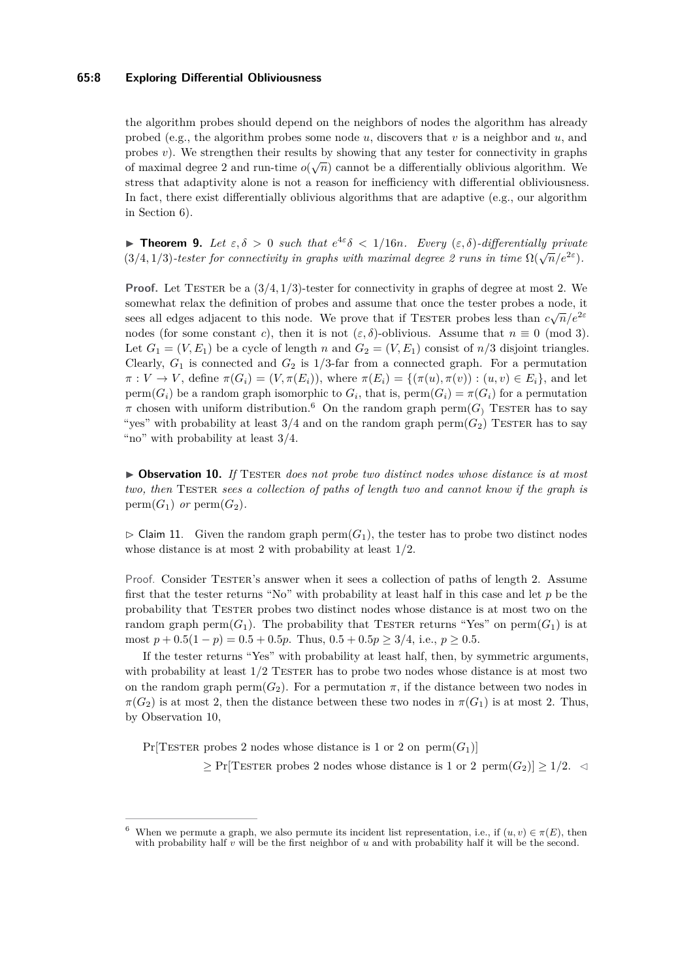#### **65:8 Exploring Differential Obliviousness**

the algorithm probes should depend on the neighbors of nodes the algorithm has already probed (e.g., the algorithm probes some node *u*, discovers that *v* is a neighbor and *u*, and probes  $v$ ). We strengthen their results by showing that any tester for connectivity in graphs of maximal degree 2 and run-time  $o(\sqrt{n})$  cannot be a differentially oblivious algorithm. We stress that adaptivity alone is not a reason for inefficiency with differential obliviousness. In fact, there exist differentially oblivious algorithms that are adaptive (e.g., our algorithm in Section [6\)](#page-10-0).

<span id="page-7-3"></span>**Theorem 9.** Let  $\varepsilon, \delta > 0$  such that  $e^{4\varepsilon} \delta < 1/16n$ . Every  $(\varepsilon, \delta)$ -differentially private (3/4, 1/3) -tester for connectivity in graphs with maximal degree 2 runs in time  $\Omega(\sqrt{n}/e^{2\varepsilon})$ .

**Proof.** Let TESTER be a  $(3/4, 1/3)$ -tester for connectivity in graphs of degree at most 2. We somewhat relax the definition of probes and assume that once the tester probes a node, it sees all edges adjacent to this node. We prove that if TESTER probes less than  $c\sqrt{n}/e^{2\varepsilon}$ nodes (for some constant *c*), then it is not  $(\varepsilon, \delta)$ -oblivious. Assume that  $n \equiv 0 \pmod{3}$ . Let  $G_1 = (V, E_1)$  be a cycle of length *n* and  $G_2 = (V, E_1)$  consist of *n*/3 disjoint triangles. Clearly,  $G_1$  is connected and  $G_2$  is  $1/3$ -far from a connected graph. For a permutation  $\pi: V \to V$ , define  $\pi(G_i) = (V, \pi(E_i))$ , where  $\pi(E_i) = \{(\pi(u), \pi(v)) : (u, v) \in E_i\}$ , and let  $perm(G_i)$  be a random graph isomorphic to  $G_i$ , that is,  $perm(G_i) = \pi(G_i)$  for a permutation  $\pi$  chosen with uniform distribution.<sup>[6](#page-7-0)</sup> On the random graph perm(*G*) TESTER has to say "yes" with probability at least  $3/4$  and on the random graph perm $(G_2)$  TESTER has to say "no" with probability at least  $3/4$ .

<span id="page-7-1"></span>▶ Observation 10. If TESTER does not probe two distinct nodes whose distance is at most *two, then* Tester *sees a collection of paths of length two and cannot know if the graph is*  $perm(G_1)$  *or*  $perm(G_2)$ .

<span id="page-7-2"></span> $\triangleright$  Claim 11. Given the random graph perm( $G_1$ ), the tester has to probe two distinct nodes whose distance is at most 2 with probability at least 1*/*2.

Proof. Consider TESTER's answer when it sees a collection of paths of length 2. Assume first that the tester returns "No" with probability at least half in this case and let *p* be the probability that Tester probes two distinct nodes whose distance is at most two on the random graph perm $(G_1)$ . The probability that TESTER returns "Yes" on perm $(G_1)$  is at most  $p + 0.5(1 - p) = 0.5 + 0.5p$ . Thus,  $0.5 + 0.5p \ge 3/4$ , i.e.,  $p \ge 0.5$ .

If the tester returns "Yes" with probability at least half, then, by symmetric arguments, with probability at least  $1/2$  TESTER has to probe two nodes whose distance is at most two on the random graph perm $(G_2)$ . For a permutation  $\pi$ , if the distance between two nodes in  $\pi(G_2)$  is at most 2, then the distance between these two nodes in  $\pi(G_1)$  is at most 2. Thus, by Observation [10,](#page-7-1)

 $Pr[TESTER\ probes\ 2\ nodes\ whose\ distance\ is\ 1\ or\ 2\ on\ *perm*(*G*<sub>1</sub>)]$ 

 $\geq$  Pr[TESTER probes 2 nodes whose distance is 1 or 2 perm $(G_2)$ ]  $\geq$  1/2.  $\triangleleft$ 

<span id="page-7-0"></span>When we permute a graph, we also permute its incident list representation, i.e., if  $(u, v) \in \pi(E)$ , then with probability half *v* will be the first neighbor of *u* and with probability half it will be the second.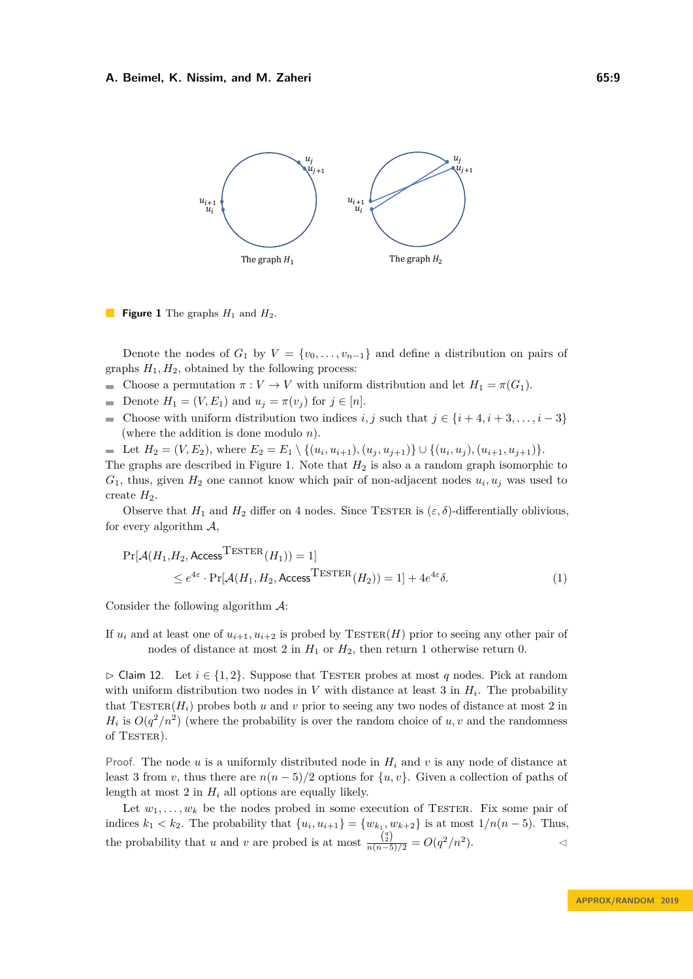<span id="page-8-0"></span>

**Figure 1** The graphs  $H_1$  and  $H_2$ .

Denote the nodes of  $G_1$  by  $V = \{v_0, \ldots, v_{n-1}\}\$  and define a distribution on pairs of graphs  $H_1, H_2$ , obtained by the following process:

- Choose a permutation  $\pi : V \to V$  with uniform distribution and let  $H_1 = \pi(G_1)$ .
- Denote  $H_1 = (V, E_1)$  and  $u_j = \pi(v_j)$  for  $j \in [n]$ .
- Choose with uniform distribution two indices *i, j* such that  $j \in \{i+4, i+3, \ldots, i-3\}$  $\rightarrow$ (where the addition is done modulo *n*).

Let  $H_2 = (V, E_2)$ , where  $E_2 = E_1 \setminus \{(u_i, u_{i+1}), (u_j, u_{j+1})\} \cup \{(u_i, u_j), (u_{i+1}, u_{j+1})\}.$ The graphs are described in Figure [1.](#page-8-0) Note that *H*<sup>2</sup> is also a a random graph isomorphic to  $G_1$ , thus, given  $H_2$  one cannot know which pair of non-adjacent nodes  $u_i, u_j$  was used to create  $H_2$ .

Observe that  $H_1$  and  $H_2$  differ on 4 nodes. Since TESTER is  $(\varepsilon, \delta)$ -differentially oblivious, for every algorithm  $A$ ,

<span id="page-8-2"></span>
$$
\Pr[\mathcal{A}(H_1, H_2, \text{Access}^{\text{TESTER}}(H_1)) = 1] \le e^{4\varepsilon} \cdot \Pr[\mathcal{A}(H_1, H_2, \text{Access}^{\text{TESTER}}(H_2)) = 1] + 4e^{4\varepsilon} \delta. \tag{1}
$$

Consider the following algorithm  $\mathcal{A}$ :

If  $u_i$  and at least one of  $u_{i+1}, u_{i+2}$  is probed by  $\text{TESTER}(H)$  prior to seeing any other pair of nodes of distance at most 2 in  $H_1$  or  $H_2$ , then return 1 otherwise return 0.

<span id="page-8-1"></span> $\triangleright$  Claim 12. Let  $i \in \{1, 2\}$ . Suppose that TESTER probes at most *q* nodes. Pick at random with uniform distribution two nodes in  $V$  with distance at least 3 in  $H_i$ . The probability that  $T \text{ESTER}(H_i)$  probes both *u* and *v* prior to seeing any two nodes of distance at most 2 in  $H_i$  is  $O(q^2/n^2)$  (where the probability is over the random choice of *u, v* and the randomness of  $TesTER$ ).

Proof. The node *u* is a uniformly distributed node in *H<sup>i</sup>* and *v* is any node of distance at least 3 from *v*, thus there are  $n(n-5)/2$  options for  $\{u, v\}$ . Given a collection of paths of length at most 2 in  $H_i$  all options are equally likely.

<span id="page-8-3"></span>Let  $w_1, \ldots, w_k$  be the nodes probed in some execution of TESTER. Fix some pair of indices  $k_1 < k_2$ . The probability that  $\{u_i, u_{i+1}\} = \{w_{k_1}, w_{k+2}\}$  is at most  $1/n(n-5)$ . Thus, the probability that *u* and *v* are probed is at most  $\frac{\binom{q}{2}}{n(n-5)/2} = O(q^2/n^2)$ .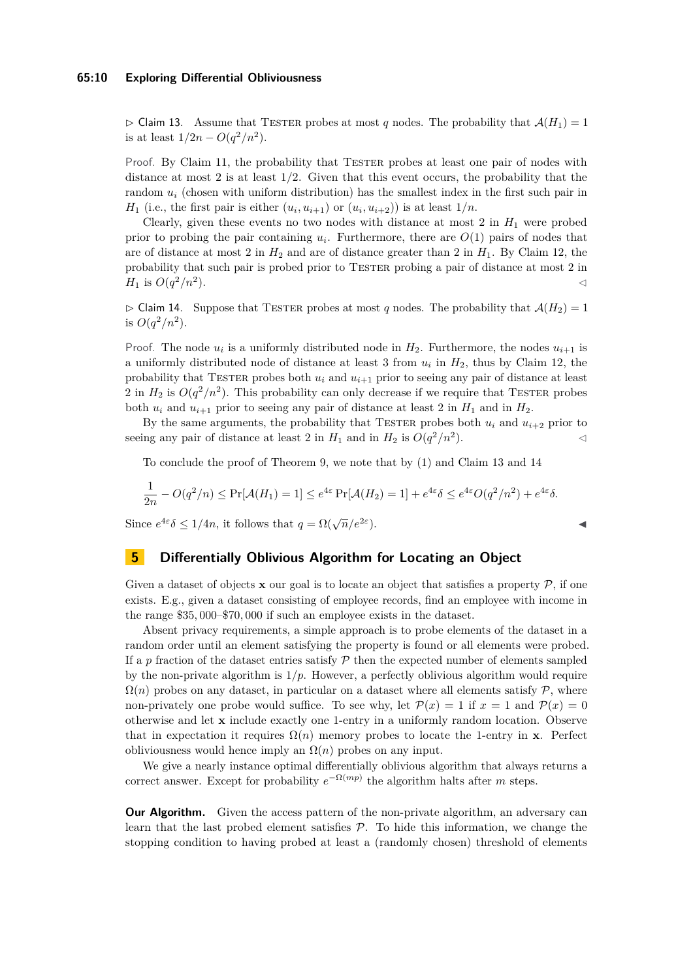#### **65:10 Exploring Differential Obliviousness**

 $\triangleright$  Claim 13. Assume that TESTER probes at most *q* nodes. The probability that  $\mathcal{A}(H_1) = 1$ is at least  $1/2n - O(q^2/n^2)$ .

Proof. By Claim [11,](#page-7-2) the probability that TESTER probes at least one pair of nodes with distance at most 2 is at least 1*/*2. Given that this event occurs, the probability that the random  $u_i$  (chosen with uniform distribution) has the smallest index in the first such pair in *H*<sub>1</sub> (i.e., the first pair is either  $(u_i, u_{i+1})$  or  $(u_i, u_{i+2})$ ) is at least  $1/n$ .

Clearly, given these events no two nodes with distance at most  $2$  in  $H_1$  were probed prior to probing the pair containing  $u_i$ . Furthermore, there are  $O(1)$  pairs of nodes that are of distance at most 2 in  $H_2$  and are of distance greater than 2 in  $H_1$ . By Claim [12,](#page-8-1) the probability that such pair is probed prior to TESTER probing a pair of distance at most 2 in *H*<sub>1</sub> is  $O(q^2/n^2)$ ).

<span id="page-9-1"></span> $\triangleright$  Claim 14. Suppose that TESTER probes at most *q* nodes. The probability that  $\mathcal{A}(H_2) = 1$ is  $O(q^2/n^2)$ .

Proof. The node  $u_i$  is a uniformly distributed node in  $H_2$ . Furthermore, the nodes  $u_{i+1}$  is a uniformly distributed node of distance at least 3 from *u<sup>i</sup>* in *H*2, thus by Claim [12,](#page-8-1) the probability that TESTER probes both  $u_i$  and  $u_{i+1}$  prior to seeing any pair of distance at least 2 in  $H_2$  is  $O(q^2/n^2)$ . This probability can only decrease if we require that TESTER probes both  $u_i$  and  $u_{i+1}$  prior to seeing any pair of distance at least 2 in  $H_1$  and in  $H_2$ .

By the same arguments, the probability that TESTER probes both  $u_i$  and  $u_{i+2}$  prior to seeing any pair of distance at least 2 in  $H_1$  and in  $H_2$  is  $O(q^2/n^2)$ ).  $\lhd$ 

To conclude the proof of Theorem [9,](#page-7-3) we note that by [\(1\)](#page-8-2) and Claim [13](#page-8-3) and [14](#page-9-1)

$$
\frac{1}{2n} - O(q^2/n) \le \Pr[\mathcal{A}(H_1) = 1] \le e^{4\varepsilon} \Pr[\mathcal{A}(H_2) = 1] + e^{4\varepsilon} \delta \le e^{4\varepsilon} O(q^2/n^2) + e^{4\varepsilon} \delta.
$$

Since  $e^{4\varepsilon} \delta \leq 1/4n$ , it follows that  $q = \Omega(\sqrt{n}/e^{2\varepsilon})$ 

### <span id="page-9-0"></span>**5 Differentially Oblivious Algorithm for Locating an Object**

Given a dataset of objects **x** our goal is to locate an object that satisfies a property  $P$ , if one exists. E.g., given a dataset consisting of employee records, find an employee with income in the range \$35*,* 000–\$70*,* 000 if such an employee exists in the dataset.

Absent privacy requirements, a simple approach is to probe elements of the dataset in a random order until an element satisfying the property is found or all elements were probed. If a  $p$  fraction of the dataset entries satisfy  $\mathcal P$  then the expected number of elements sampled by the non-private algorithm is  $1/p$ . However, a perfectly oblivious algorithm would require  $\Omega(n)$  probes on any dataset, in particular on a dataset where all elements satisfy  $P$ , where non-privately one probe would suffice. To see why, let  $\mathcal{P}(x) = 1$  if  $x = 1$  and  $\mathcal{P}(x) = 0$ otherwise and let **x** include exactly one 1-entry in a uniformly random location. Observe that in expectation it requires  $\Omega(n)$  memory probes to locate the 1-entry in **x**. Perfect obliviousness would hence imply an  $\Omega(n)$  probes on any input.

We give a nearly instance optimal differentially oblivious algorithm that always returns a correct answer. Except for probability  $e^{-\Omega(mp)}$  the algorithm halts after *m* steps.

**Our Algorithm.** Given the access pattern of the non-private algorithm, an adversary can learn that the last probed element satisfies  $P$ . To hide this information, we change the stopping condition to having probed at least a (randomly chosen) threshold of elements

 $\blacksquare$ ).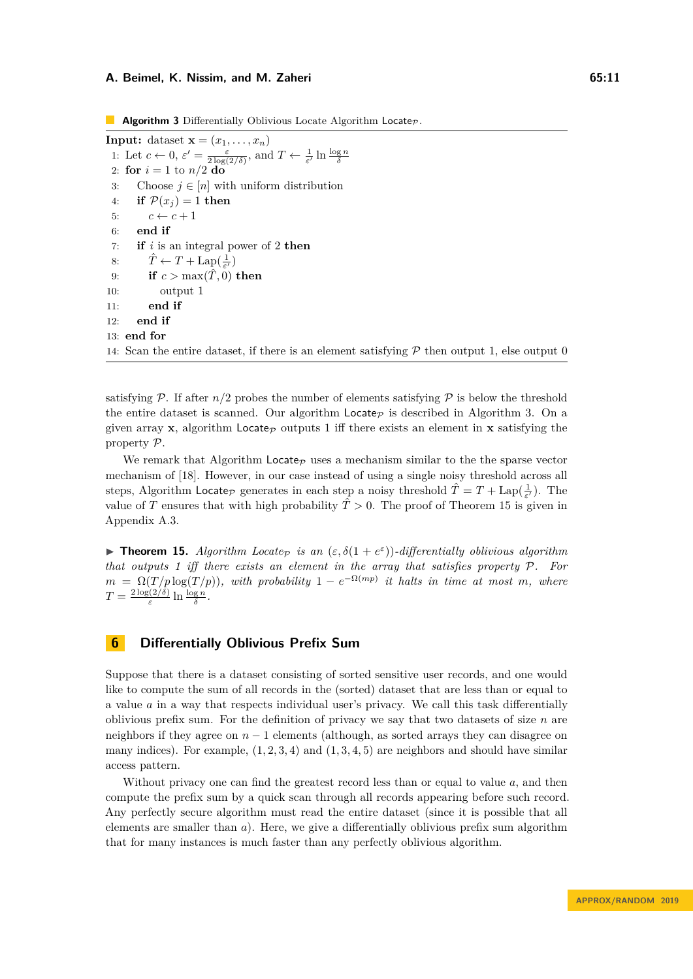<span id="page-10-1"></span>**Algorithm 3** Differentially Oblivious Locate Algorithm Locate<sub>P</sub>.

<span id="page-10-4"></span><span id="page-10-3"></span>**Input:** dataset  $\mathbf{x} = (x_1, \ldots, x_n)$ 1: Let  $c \leftarrow 0$ ,  $\varepsilon' = \frac{\varepsilon}{2 \log(2/\delta)}$ , and  $T \leftarrow \frac{1}{\varepsilon'} \ln \frac{\log n}{\delta}$ 2: **for**  $i = 1$  to  $n/2$  **do** 3: Choose  $j \in [n]$  with uniform distribution 4: **if**  $\mathcal{P}(x_i) = 1$  **then** 5:  $c \leftarrow c + 1$ 6: **end if** 7: **if** *i* is an integral power of 2 **then** 8:  $\hat{T} \leftarrow T + \text{Lap}(\frac{1}{\varepsilon'})$ 9: **if**  $c > \max(\hat{T}, 0)$  **then** 10: output 1 11: **end if** 12: **end if** 13: **end for** 14: Scan the entire dataset, if there is an element satisfying  $\mathcal P$  then output 1, else output 0

satisfying  $P$ . If after  $n/2$  probes the number of elements satisfying  $P$  is below the threshold the entire dataset is scanned. Our algorithm  $Locate_{\mathcal{P}}$  is described in Algorithm [3.](#page-10-1) On a given array **x**, algorithm Locate<sub>P</sub> outputs 1 iff there exists an element in **x** satisfying the property P.

We remark that Algorithm Locate<sub>p</sub> uses a mechanism similar to the the sparse vector mechanism of [\[18\]](#page-14-12). However, in our case instead of using a single noisy threshold across all steps, Algorithm Locate<sub>P</sub> generates in each step a noisy threshold  $\hat{T} = T + \text{Lap}(\frac{1}{\varepsilon'})$ . The value of *T* ensures that with high probability  $\hat{T} > 0$ . The proof of Theorem [15](#page-10-2) is given in Appendix [A.3.](#page-16-0)

<span id="page-10-2"></span>**Theorem 15.** *Algorithm Locate is an*  $(\varepsilon, \delta(1 + e^{\varepsilon}))$ *-differentially oblivious algorithm that outputs 1 iff there exists an element in the array that satisfies property* P*. For*  $m = \Omega(T/p \log(T/p))$ , with probability  $1 - e^{-\Omega(mp))}$  it halts in time at most *m*, where  $T = \frac{2 \log(2/\delta)}{\epsilon}$  $\frac{\log n}{\varepsilon}$  ln  $\frac{\log n}{\delta}$ .

## <span id="page-10-0"></span>**6 Differentially Oblivious Prefix Sum**

Suppose that there is a dataset consisting of sorted sensitive user records, and one would like to compute the sum of all records in the (sorted) dataset that are less than or equal to a value *a* in a way that respects individual user's privacy. We call this task differentially oblivious prefix sum. For the definition of privacy we say that two datasets of size *n* are neighbors if they agree on *n* − 1 elements (although, as sorted arrays they can disagree on many indices). For example, (1*,* 2*,* 3*,* 4) and (1*,* 3*,* 4*,* 5) are neighbors and should have similar access pattern.

Without privacy one can find the greatest record less than or equal to value *a*, and then compute the prefix sum by a quick scan through all records appearing before such record. Any perfectly secure algorithm must read the entire dataset (since it is possible that all elements are smaller than *a*). Here, we give a differentially oblivious prefix sum algorithm that for many instances is much faster than any perfectly oblivious algorithm.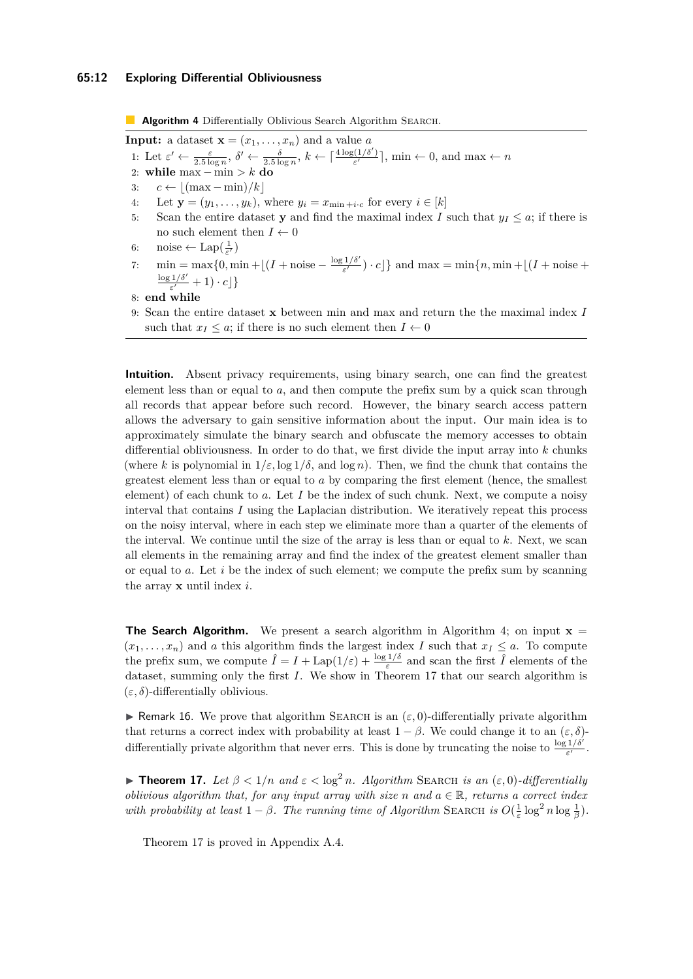#### **65:12 Exploring Differential Obliviousness**

<span id="page-11-2"></span><span id="page-11-0"></span>**Algorithm 4** Differentially Oblivious Search Algorithm SEARCH. **Input:** a dataset  $\mathbf{x} = (x_1, \ldots, x_n)$  and a value *a* 1: Let  $\varepsilon' \leftarrow \frac{\varepsilon}{2.5 \log n}, \delta' \leftarrow \frac{\delta}{2.5 \log n}, k \leftarrow \lceil \frac{4 \log(1/\delta')}{\varepsilon'} \rceil$  $\left[\frac{\mathfrak{c}(1/\sigma)}{\varepsilon'}\right]$ , min  $\leftarrow 0$ , and max  $\leftarrow n$ 2: **while** max − min *> k* **do** 3:  $c \leftarrow \left| \frac{\text{(max} - \text{min})}{k} \right|$ 4: Let  $\mathbf{y} = (y_1, \ldots, y_k)$ , where  $y_i = x_{\min + i \cdot c}$  for every  $i \in [k]$ 5: Scan the entire dataset **y** and find the maximal index *I* such that  $y_I \leq a$ ; if there is no such element then  $I \leftarrow 0$ 6: noise  $\leftarrow$  Lap $(\frac{1}{\varepsilon'})$ 7:  $\min = \max\{0, \min + |(I + \text{noise} - \frac{\log 1/\delta'}{\epsilon'})\}$  $\left\{ \frac{f(I/\delta)}{\varepsilon'}\right\}$  and max = min $\{n, \min + \lfloor (I + \text{noise} + \delta')\rfloor\}$  $\log 1/\delta'$  $\frac{1/\delta}{\varepsilon'}+1)\cdot c$ } 8: **end while** 9: Scan the entire dataset **x** between min and max and return the the maximal index *I* such that  $x_I \leq a$ ; if there is no such element then  $I \leftarrow 0$ **Intuition.** Absent privacy requirements, using binary search, one can find the greatest element less than or equal to *a*, and then compute the prefix sum by a quick scan through all records that appear before such record. However, the binary search access pattern allows the adversary to gain sensitive information about the input. Our main idea is to

approximately simulate the binary search and obfuscate the memory accesses to obtain differential obliviousness. In order to do that, we first divide the input array into *k* chunks (where *k* is polynomial in  $1/\varepsilon$ ,  $\log 1/\delta$ , and  $\log n$ ). Then, we find the chunk that contains the greatest element less than or equal to *a* by comparing the first element (hence, the smallest element) of each chunk to *a*. Let *I* be the index of such chunk. Next, we compute a noisy interval that contains *I* using the Laplacian distribution. We iteratively repeat this process on the noisy interval, where in each step we eliminate more than a quarter of the elements of the interval. We continue until the size of the array is less than or equal to *k*. Next, we scan all elements in the remaining array and find the index of the greatest element smaller than or equal to *a*. Let *i* be the index of such element; we compute the prefix sum by scanning

**The Search Algorithm.** We present a search algorithm in Algorithm [4;](#page-11-0) on input  $\mathbf{x} =$  $(x_1, \ldots, x_n)$  and *a* this algorithm finds the largest index *I* such that  $x_I \leq a$ . To compute the prefix sum, we compute  $\hat{I} = I + \text{Lap}(1/\varepsilon) + \frac{\log 1/\delta}{\varepsilon}$  and scan the first  $\hat{I}$  elements of the dataset, summing only the first *I*. We show in Theorem [17](#page-11-1) that our search algorithm is  $(\varepsilon, \delta)$ -differentially oblivious.

**I** Remark 16. We prove that algorithm SEARCH is an  $(\varepsilon, 0)$ -differentially private algorithm that returns a correct index with probability at least  $1 - \beta$ . We could change it to an  $(\varepsilon, \delta)$ differentially private algorithm that never errs. This is done by truncating the noise to  $\frac{\log 1/\delta'}{\varepsilon'}$ .

<span id="page-11-1"></span> $\blacktriangleright$  **Theorem 17.** *Let β* < 1/*n and*  $\epsilon$  < log<sup>2</sup> *n. Algorithm* SEARCH *is an* ( $\epsilon$ , 0)*-differentially oblivious algorithm that, for any input array with size n* and  $a \in \mathbb{R}$ , returns a correct index *with probability at least*  $1 - \beta$ *. The running time of Algorithm* SEARCH *is*  $O(\frac{1}{\varepsilon} \log^2 n \log \frac{1}{\beta})$ *.* 

Theorem [17](#page-11-1) is proved in Appendix [A.4.](#page-18-0)

the array **x** until index *i*.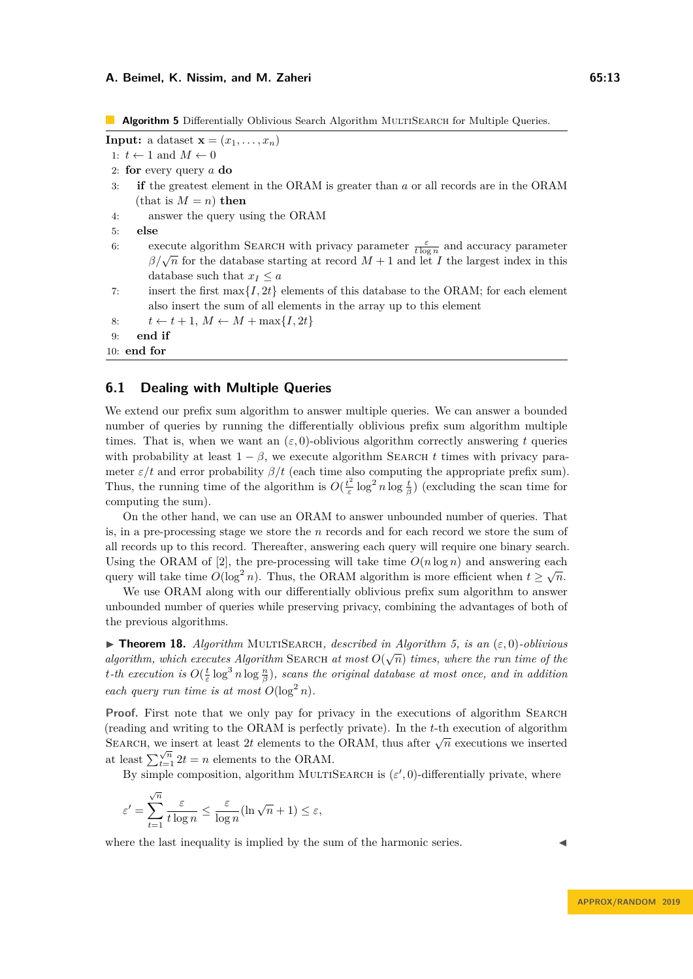<span id="page-12-0"></span>**Algorithm 5** Differentially Oblivious Search Algorithm MULTISEARCH for Multiple Queries.

```
Input: a dataset \mathbf{x} = (x_1, \ldots, x_n)1: t \leftarrow 1 and M \leftarrow 02: for every query a do
 3: if the greatest element in the ORAM is greater than a or all records are in the ORAM
      (\text{that is } M = n) \text{ then}4: answer the query using the ORAM
 5: else
 6: execute algorithm SEARCH with privacy parameter \frac{\varepsilon}{t \log n} and accuracy parameter
         β/\sqrt{n} for the database starting at record M + 1 and let I the largest index in this
         database such that x_I \leq a7: insert the first max{I, 2t} elements of this database to the ORAM; for each element
         also insert the sum of all elements in the array up to this element
 8: t \leftarrow t+1, M \leftarrow M + \max\{I, 2t\}9: end if
10: end for
```
# **6.1 Dealing with Multiple Queries**

We extend our prefix sum algorithm to answer multiple queries. We can answer a bounded number of queries by running the differentially oblivious prefix sum algorithm multiple times. That is, when we want an  $(\varepsilon, 0)$ -oblivious algorithm correctly answering t queries with probability at least  $1 - \beta$ , we execute algorithm SEARCH *t* times with privacy parameter  $\varepsilon/t$  and error probability  $\beta/t$  (each time also computing the appropriate prefix sum). Thus, the running time of the algorithm is  $O(\frac{t^2}{\epsilon})$  $\frac{t^2}{\varepsilon} \log^2 n \log \frac{t}{\beta}$ ) (excluding the scan time for computing the sum).

On the other hand, we can use an ORAM to answer unbounded number of queries. That is, in a pre-processing stage we store the *n* records and for each record we store the sum of all records up to this record. Thereafter, answering each query will require one binary search. Using the ORAM of [\[2\]](#page-13-3), the pre-processing will take time  $O(n \log n)$  and answering each  $\log n$ query will take time  $O(\log^2 n)$ . Thus, the ORAM algorithm is more efficient when  $t \geq \sqrt{n}$ .

We use ORAM along with our differentially oblivious prefix sum algorithm to answer unbounded number of queries while preserving privacy, combining the advantages of both of the previous algorithms.

**► Theorem 18.** *Algorithm* MULTISEARCH, described in Algorithm [5,](#page-12-0) is an  $(\varepsilon, 0)$ -oblivious *algorithm, which executes Algorithm* SEARCH *at most*  $O(\sqrt{n})$  *times, where the run time of the t*-th execution is  $O(\frac{t}{\varepsilon} \log^3 n \log \frac{n}{\beta})$ , scans the original database at most once, and in addition *each query run time is at most*  $O(\log^2 n)$ *.* 

**Proof.** First note that we only pay for privacy in the executions of algorithm SEARCH (reading and writing to the ORAM is perfectly private). In the *t*-th execution of algorithm SEARCH, we insert at least 2t elements to the ORAM, thus after  $\sqrt{n}$  executions we inserted at least  $\sum_{t=1}^{\sqrt{n}} 2t = n$  elements to the ORAM.

By simple composition, algorithm MULTISEARCH is  $(\varepsilon', 0)$ -differentially private, where

$$
\varepsilon' = \sum_{t=1}^{\sqrt{n}} \frac{\varepsilon}{t \log n} \le \frac{\varepsilon}{\log n} (\ln \sqrt{n} + 1) \le \varepsilon,
$$

where the last inequality is implied by the sum of the harmonic series.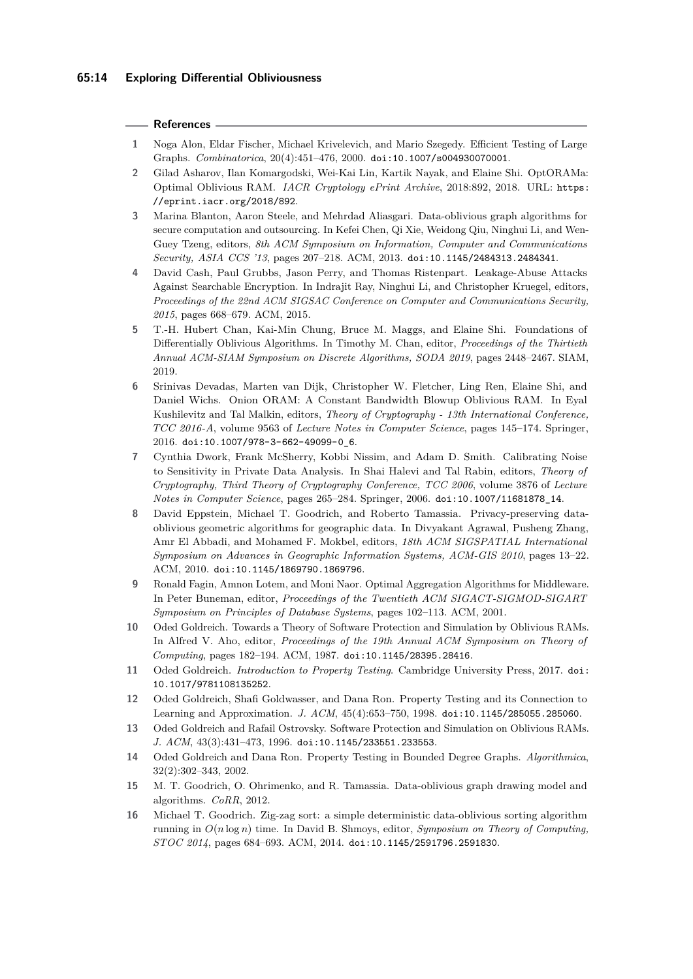### **References**

- <span id="page-13-10"></span>**1** Noga Alon, Eldar Fischer, Michael Krivelevich, and Mario Szegedy. Efficient Testing of Large Graphs. *Combinatorica*, 20(4):451–476, 2000. [doi:10.1007/s004930070001](https://doi.org/10.1007/s004930070001).
- <span id="page-13-3"></span>**2** Gilad Asharov, Ilan Komargodski, Wei-Kai Lin, Kartik Nayak, and Elaine Shi. OptORAMa: Optimal Oblivious RAM. *IACR Cryptology ePrint Archive*, 2018:892, 2018. URL: [https:](https://eprint.iacr.org/2018/892) [//eprint.iacr.org/2018/892](https://eprint.iacr.org/2018/892).
- <span id="page-13-5"></span>**3** Marina Blanton, Aaron Steele, and Mehrdad Aliasgari. Data-oblivious graph algorithms for secure computation and outsourcing. In Kefei Chen, Qi Xie, Weidong Qiu, Ninghui Li, and Wen-Guey Tzeng, editors, *8th ACM Symposium on Information, Computer and Communications Security, ASIA CCS '13*, pages 207–218. ACM, 2013. [doi:10.1145/2484313.2484341](https://doi.org/10.1145/2484313.2484341).
- <span id="page-13-0"></span>**4** David Cash, Paul Grubbs, Jason Perry, and Thomas Ristenpart. Leakage-Abuse Attacks Against Searchable Encryption. In Indrajit Ray, Ninghui Li, and Christopher Kruegel, editors, *Proceedings of the 22nd ACM SIGSAC Conference on Computer and Communications Security, 2015*, pages 668–679. ACM, 2015.
- <span id="page-13-8"></span>**5** T.-H. Hubert Chan, Kai-Min Chung, Bruce M. Maggs, and Elaine Shi. Foundations of Differentially Oblivious Algorithms. In Timothy M. Chan, editor, *Proceedings of the Thirtieth Annual ACM-SIAM Symposium on Discrete Algorithms, SODA 2019*, pages 2448–2467. SIAM, 2019.
- <span id="page-13-4"></span>**6** Srinivas Devadas, Marten van Dijk, Christopher W. Fletcher, Ling Ren, Elaine Shi, and Daniel Wichs. Onion ORAM: A Constant Bandwidth Blowup Oblivious RAM. In Eyal Kushilevitz and Tal Malkin, editors, *Theory of Cryptography - 13th International Conference, TCC 2016-A*, volume 9563 of *Lecture Notes in Computer Science*, pages 145–174. Springer, 2016. [doi:10.1007/978-3-662-49099-0\\_6](https://doi.org/10.1007/978-3-662-49099-0_6).
- <span id="page-13-14"></span>**7** Cynthia Dwork, Frank McSherry, Kobbi Nissim, and Adam D. Smith. Calibrating Noise to Sensitivity in Private Data Analysis. In Shai Halevi and Tal Rabin, editors, *Theory of Cryptography, Third Theory of Cryptography Conference, TCC 2006*, volume 3876 of *Lecture Notes in Computer Science*, pages 265–284. Springer, 2006. [doi:10.1007/11681878\\_14](https://doi.org/10.1007/11681878_14).
- <span id="page-13-6"></span>**8** David Eppstein, Michael T. Goodrich, and Roberto Tamassia. Privacy-preserving dataoblivious geometric algorithms for geographic data. In Divyakant Agrawal, Pusheng Zhang, Amr El Abbadi, and Mohamed F. Mokbel, editors, *18th ACM SIGSPATIAL International Symposium on Advances in Geographic Information Systems, ACM-GIS 2010*, pages 13–22. ACM, 2010. [doi:10.1145/1869790.1869796](https://doi.org/10.1145/1869790.1869796).
- <span id="page-13-12"></span>**9** Ronald Fagin, Amnon Lotem, and Moni Naor. Optimal Aggregation Algorithms for Middleware. In Peter Buneman, editor, *Proceedings of the Twentieth ACM SIGACT-SIGMOD-SIGART Symposium on Principles of Database Systems*, pages 102–113. ACM, 2001.
- <span id="page-13-1"></span>**10** Oded Goldreich. Towards a Theory of Software Protection and Simulation by Oblivious RAMs. In Alfred V. Aho, editor, *Proceedings of the 19th Annual ACM Symposium on Theory of Computing*, pages 182–194. ACM, 1987. [doi:10.1145/28395.28416](https://doi.org/10.1145/28395.28416).
- <span id="page-13-13"></span>**11** Oded Goldreich. *Introduction to Property Testing*. Cambridge University Press, 2017. [doi:](https://doi.org/10.1017/9781108135252) [10.1017/9781108135252](https://doi.org/10.1017/9781108135252).
- <span id="page-13-9"></span>**12** Oded Goldreich, Shafi Goldwasser, and Dana Ron. Property Testing and its Connection to Learning and Approximation. *J. ACM*, 45(4):653–750, 1998. [doi:10.1145/285055.285060](https://doi.org/10.1145/285055.285060).
- <span id="page-13-2"></span>**13** Oded Goldreich and Rafail Ostrovsky. Software Protection and Simulation on Oblivious RAMs. *J. ACM*, 43(3):431–473, 1996. [doi:10.1145/233551.233553](https://doi.org/10.1145/233551.233553).
- <span id="page-13-11"></span>**14** Oded Goldreich and Dana Ron. Property Testing in Bounded Degree Graphs. *Algorithmica*, 32(2):302–343, 2002.
- <span id="page-13-15"></span>**15** M. T. Goodrich, O. Ohrimenko, and R. Tamassia. Data-oblivious graph drawing model and algorithms. *CoRR*, 2012.
- <span id="page-13-7"></span>**16** Michael T. Goodrich. Zig-zag sort: a simple deterministic data-oblivious sorting algorithm running in *O*(*n* log *n*) time. In David B. Shmoys, editor, *Symposium on Theory of Computing, STOC 2014*, pages 684–693. ACM, 2014. [doi:10.1145/2591796.2591830](https://doi.org/10.1145/2591796.2591830).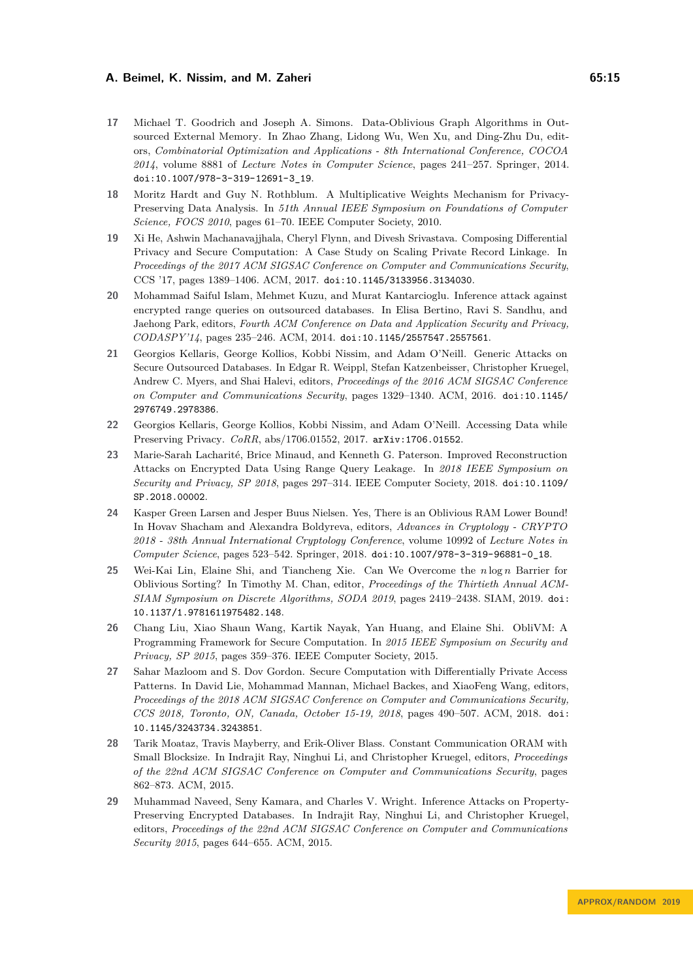- <span id="page-14-6"></span>**17** Michael T. Goodrich and Joseph A. Simons. Data-Oblivious Graph Algorithms in Outsourced External Memory. In Zhao Zhang, Lidong Wu, Wen Xu, and Ding-Zhu Du, editors, *Combinatorial Optimization and Applications - 8th International Conference, COCOA 2014*, volume 8881 of *Lecture Notes in Computer Science*, pages 241–257. Springer, 2014. [doi:10.1007/978-3-319-12691-3\\_19](https://doi.org/10.1007/978-3-319-12691-3_19).
- <span id="page-14-12"></span>**18** Moritz Hardt and Guy N. Rothblum. A Multiplicative Weights Mechanism for Privacy-Preserving Data Analysis. In *51th Annual IEEE Symposium on Foundations of Computer Science, FOCS 2010*, pages 61–70. IEEE Computer Society, 2010.
- <span id="page-14-8"></span>**19** Xi He, Ashwin Machanavajjhala, Cheryl Flynn, and Divesh Srivastava. Composing Differential Privacy and Secure Computation: A Case Study on Scaling Private Record Linkage. In *Proceedings of the 2017 ACM SIGSAC Conference on Computer and Communications Security*, CCS '17, pages 1389–1406. ACM, 2017. [doi:10.1145/3133956.3134030](https://doi.org/10.1145/3133956.3134030).
- <span id="page-14-0"></span>**20** Mohammad Saiful Islam, Mehmet Kuzu, and Murat Kantarcioglu. Inference attack against encrypted range queries on outsourced databases. In Elisa Bertino, Ravi S. Sandhu, and Jaehong Park, editors, *Fourth ACM Conference on Data and Application Security and Privacy, CODASPY'14*, pages 235–246. ACM, 2014. [doi:10.1145/2557547.2557561](https://doi.org/10.1145/2557547.2557561).
- <span id="page-14-2"></span>**21** Georgios Kellaris, George Kollios, Kobbi Nissim, and Adam O'Neill. Generic Attacks on Secure Outsourced Databases. In Edgar R. Weippl, Stefan Katzenbeisser, Christopher Kruegel, Andrew C. Myers, and Shai Halevi, editors, *Proceedings of the 2016 ACM SIGSAC Conference on Computer and Communications Security*, pages 1329–1340. ACM, 2016. [doi:10.1145/](https://doi.org/10.1145/2976749.2978386) [2976749.2978386](https://doi.org/10.1145/2976749.2978386).
- <span id="page-14-10"></span>**22** Georgios Kellaris, George Kollios, Kobbi Nissim, and Adam O'Neill. Accessing Data while Preserving Privacy. *CoRR*, abs/1706.01552, 2017. [arXiv:1706.01552](http://arxiv.org/abs/1706.01552).
- <span id="page-14-3"></span>**23** Marie-Sarah Lacharité, Brice Minaud, and Kenneth G. Paterson. Improved Reconstruction Attacks on Encrypted Data Using Range Query Leakage. In *2018 IEEE Symposium on Security and Privacy, SP 2018*, pages 297–314. IEEE Computer Society, 2018. [doi:10.1109/](https://doi.org/10.1109/SP.2018.00002) [SP.2018.00002](https://doi.org/10.1109/SP.2018.00002).
- <span id="page-14-4"></span>**24** Kasper Green Larsen and Jesper Buus Nielsen. Yes, There is an Oblivious RAM Lower Bound! In Hovav Shacham and Alexandra Boldyreva, editors, *Advances in Cryptology - CRYPTO 2018 - 38th Annual International Cryptology Conference*, volume 10992 of *Lecture Notes in Computer Science*, pages 523–542. Springer, 2018. [doi:10.1007/978-3-319-96881-0\\_18](https://doi.org/10.1007/978-3-319-96881-0_18).
- <span id="page-14-7"></span>**25** Wei-Kai Lin, Elaine Shi, and Tiancheng Xie. Can We Overcome the *n* log *n* Barrier for Oblivious Sorting? In Timothy M. Chan, editor, *Proceedings of the Thirtieth Annual ACM-SIAM Symposium on Discrete Algorithms, SODA 2019*, pages 2419–2438. SIAM, 2019. [doi:](https://doi.org/10.1137/1.9781611975482.148) [10.1137/1.9781611975482.148](https://doi.org/10.1137/1.9781611975482.148).
- <span id="page-14-11"></span>**26** Chang Liu, Xiao Shaun Wang, Kartik Nayak, Yan Huang, and Elaine Shi. ObliVM: A Programming Framework for Secure Computation. In *2015 IEEE Symposium on Security and Privacy, SP 2015*, pages 359–376. IEEE Computer Society, 2015.
- <span id="page-14-9"></span>**27** Sahar Mazloom and S. Dov Gordon. Secure Computation with Differentially Private Access Patterns. In David Lie, Mohammad Mannan, Michael Backes, and XiaoFeng Wang, editors, *Proceedings of the 2018 ACM SIGSAC Conference on Computer and Communications Security, CCS 2018, Toronto, ON, Canada, October 15-19, 2018*, pages 490–507. ACM, 2018. [doi:](https://doi.org/10.1145/3243734.3243851) [10.1145/3243734.3243851](https://doi.org/10.1145/3243734.3243851).
- <span id="page-14-5"></span>**28** Tarik Moataz, Travis Mayberry, and Erik-Oliver Blass. Constant Communication ORAM with Small Blocksize. In Indrajit Ray, Ninghui Li, and Christopher Kruegel, editors, *Proceedings of the 22nd ACM SIGSAC Conference on Computer and Communications Security*, pages 862–873. ACM, 2015.
- <span id="page-14-1"></span>**29** Muhammad Naveed, Seny Kamara, and Charles V. Wright. Inference Attacks on Property-Preserving Encrypted Databases. In Indrajit Ray, Ninghui Li, and Christopher Kruegel, editors, *Proceedings of the 22nd ACM SIGSAC Conference on Computer and Communications Security 2015*, pages 644–655. ACM, 2015.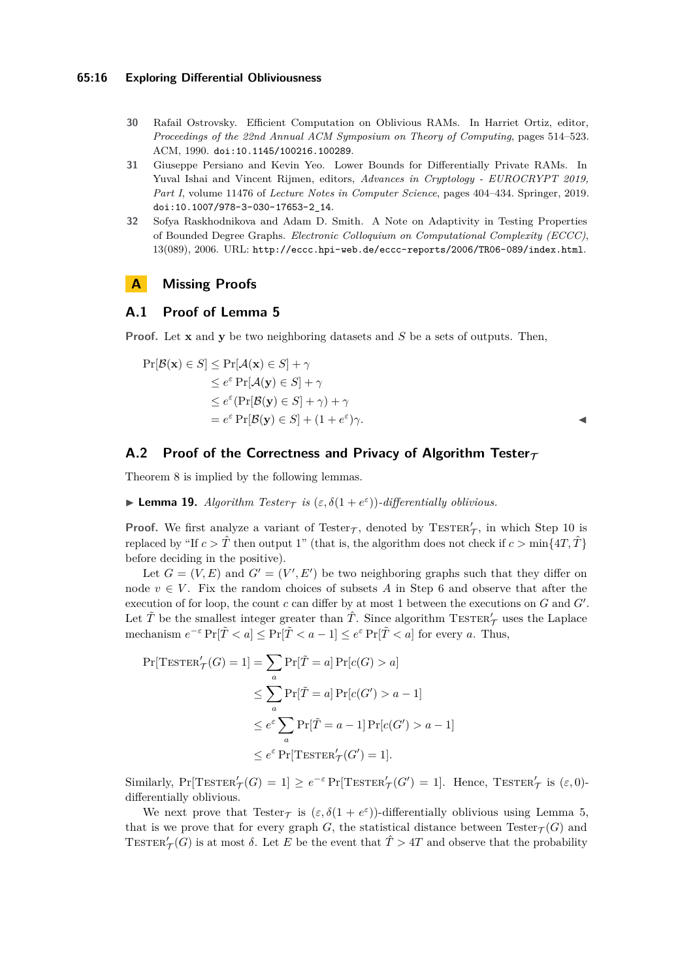- <span id="page-15-0"></span>**30** Rafail Ostrovsky. Efficient Computation on Oblivious RAMs. In Harriet Ortiz, editor, *Proceedings of the 22nd Annual ACM Symposium on Theory of Computing*, pages 514–523. ACM, 1990. [doi:10.1145/100216.100289](https://doi.org/10.1145/100216.100289).
- <span id="page-15-2"></span>**31** Giuseppe Persiano and Kevin Yeo. Lower Bounds for Differentially Private RAMs. In Yuval Ishai and Vincent Rijmen, editors, *Advances in Cryptology - EUROCRYPT 2019, Part I*, volume 11476 of *Lecture Notes in Computer Science*, pages 404–434. Springer, 2019. [doi:10.1007/978-3-030-17653-2\\_14](https://doi.org/10.1007/978-3-030-17653-2_14).
- <span id="page-15-1"></span>**32** Sofya Raskhodnikova and Adam D. Smith. A Note on Adaptivity in Testing Properties of Bounded Degree Graphs. *Electronic Colloquium on Computational Complexity (ECCC)*, 13(089), 2006. URL: <http://eccc.hpi-web.de/eccc-reports/2006/TR06-089/index.html>.

# <span id="page-15-3"></span>**A Missing Proofs**

### **A.1 Proof of Lemma [5](#page-4-1)**

**Proof.** Let **x** and **y** be two neighboring datasets and *S* be a sets of outputs. Then,

$$
\Pr[\mathcal{B}(\mathbf{x}) \in S] \le \Pr[\mathcal{A}(\mathbf{x}) \in S] + \gamma
$$
  
\n
$$
\le e^{\varepsilon} \Pr[\mathcal{A}(\mathbf{y}) \in S] + \gamma
$$
  
\n
$$
\le e^{\varepsilon} (\Pr[\mathcal{B}(\mathbf{y}) \in S] + \gamma) + \gamma
$$
  
\n
$$
= e^{\varepsilon} \Pr[\mathcal{B}(\mathbf{y}) \in S] + (1 + e^{\varepsilon})\gamma.
$$

# <span id="page-15-4"></span>A.2 Proof of the Correctness and Privacy of Algorithm Tester $\tau$

Theorem [8](#page-6-2) is implied by the following lemmas.

**Lemma 19.** *Algorithm Tester*<sub> $\tau$ </sub> *is* ( $\varepsilon$ ,  $\delta(1 + e^{\varepsilon})$ )*-differentially oblivious.* 

**Proof.** We first analyze a variant of Tester $\tau$ , denoted by TESTER $'_\tau$ , in which Step [10](#page-6-3) is replaced by "If  $c > \hat{T}$  then output 1" (that is, the algorithm does not check if  $c > \min\{4T, \hat{T}\}\$ before deciding in the positive).

Let  $G = (V, E)$  and  $G' = (V', E')$  be two neighboring graphs such that they differ on node  $v \in V$ . Fix the random choices of subsets A in Step [6](#page-6-4) and observe that after the execution of for loop, the count  $c$  can differ by at most 1 between the executions on  $G$  and  $G'$ . Let  $\tilde{T}$  be the smallest integer greater than  $\hat{T}$ . Since algorithm  $\text{TESTER}_{\mathcal{T}}'$  uses the Laplace mechanism  $e^{-\varepsilon} \Pr[\tilde{T} < a] \leq \Pr[\tilde{T} < a - 1] \leq e^{\varepsilon} \Pr[\tilde{T} < a]$  for every *a*. Thus,

$$
\Pr[\text{TESTER}'_{\mathcal{T}}(G) = 1] = \sum_{a} \Pr[\tilde{T} = a] \Pr[c(G) > a]
$$

$$
\leq \sum_{a} \Pr[\tilde{T} = a] \Pr[c(G') > a - 1]
$$

$$
\leq e^{\varepsilon} \sum_{a} \Pr[\tilde{T} = a - 1] \Pr[c(G') > a - 1]
$$

$$
\leq e^{\varepsilon} \Pr[\text{TESTER}'_{\mathcal{T}}(G') = 1].
$$

Similarly,  $Pr[\text{TESTER}'_T(G) = 1] \ge e^{-\varepsilon} Pr[\text{TESTER}'_T(G') = 1]$ . Hence,  $T \text{ESTER}'_T$  is  $(\varepsilon, 0)$ differentially oblivious.

We next prove that Tester<sub>T</sub> is  $(\varepsilon, \delta(1 + e^{\varepsilon}))$ -differentially oblivious using Lemma [5,](#page-4-1) that is we prove that for every graph *G*, the statistical distance between  $\text{Tester}_{\mathcal{T}}(G)$  and TESTER<sup>'</sup> $\mathcal{T}(G)$  is at most  $\delta$ . Let *E* be the event that  $\hat{T} > 4T$  and observe that the probability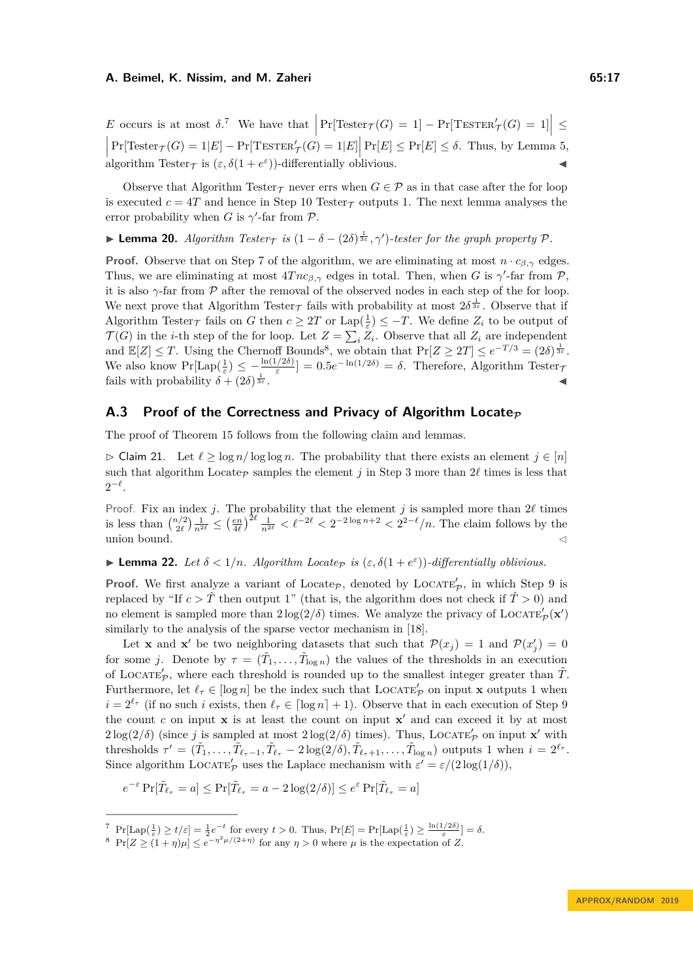*E* occurs is at most  $\delta$ .<sup>[7](#page-16-1)</sup> We have that  $\left| \Pr[\text{Tester}_{\mathcal{T}}(G) = 1] - \Pr[\text{Tester}_{\mathcal{T}}(G) = 1] \right| \le$  $\overline{\phantom{a}}$  $\overline{\phantom{a}}$ algorithm Tester  $\tau$  is  $(\varepsilon, \delta(1 + e^{\varepsilon}))$ -differentially oblivious.  $Pr[\text{Tester}_{\mathcal{T}}(G) = 1|E] - Pr[\text{Tester}_{\mathcal{T}}(G) = 1|E] | Pr[E] \le Pr[E] \le \delta$ . Thus, by Lemma [5,](#page-4-1)

Observe that Algorithm Tester<sub>T</sub> never errs when  $G \in \mathcal{P}$  as in that case after the for loop is executed  $c = 4T$  and hence in Step [10](#page-6-3) Tester<sub> $\tau$ </sub> outputs 1. The next lemma analyses the error probability when *G* is  $\gamma'$ -far from *P*.

**► Lemma 20.** *Algorithm Tester*<sub> $\tau$ </sub> *is*  $(1 - \delta - (2\delta)^{\frac{1}{3\varepsilon}}, \gamma')$ -tester for the graph property  $\mathcal{P}$ .

**Proof.** Observe that on Step [7](#page-6-5) of the algorithm, we are eliminating at most  $n \cdot c_{\beta,\gamma}$  edges. Thus, we are eliminating at most  $4Tnc_{\beta,\gamma}$  edges in total. Then, when *G* is  $\gamma'$ -far from *P*, it is also  $\gamma$ -far from  $\mathcal P$  after the removal of the observed nodes in each step of the for loop. We next prove that Algorithm Tester<sub>T</sub> fails with probability at most  $2\delta^{\frac{1}{3\varepsilon}}$ . Observe that if Algorithm Tester<sub> $\tau$ </sub> fails on *G* then  $c \geq 2T$  or Lap $(\frac{1}{\varepsilon}) \leq -T$ . We define  $Z_i$  to be output of  $\mathcal{T}(G)$  in the *i*-th step of the for loop. Let  $Z = \sum_i Z_i$ . Observe that all  $Z_i$  are independent and  $\mathbb{E}[Z] \leq T$ . Using the Chernoff Bounds<sup>[8](#page-16-2)</sup>, we obtain that  $\Pr[Z \geq 2T] \leq e^{-T/3} = (2\delta)^{\frac{1}{3\varepsilon}}$ . We also know  $\Pr[\text{Lap}(\frac{1}{\varepsilon}) \leq -\frac{\ln(1/2\delta)}{\varepsilon}] = 0.5e^{-\ln(1/2\delta)} = \delta$ . Therefore, Algorithm Tester<sub>7</sub> fails with probability  $\delta + (2\delta)^{\frac{1}{3\delta}}$  $\frac{1}{3\varepsilon}$  .

# <span id="page-16-0"></span>A.3 Proof of the Correctness and Privacy of Algorithm Locate<sub>*P*</sub>

<span id="page-16-3"></span>The proof of Theorem [15](#page-10-2) follows from the following claim and lemmas.

 $\triangleright$  Claim 21. Let  $\ell \geq \log n / \log \log n$ . The probability that there exists an element  $j \in [n]$ such that algorithm Locate<sub>P</sub> samples the element *j* in Step [3](#page-10-3) more than  $2\ell$  times is less that  $2^{-\ell}$ .

Proof. Fix an index *j*. The probability that the element *j* is sampled more than  $2\ell$  times is less than  $\binom{n/2}{2\ell} \frac{1}{n^{2\ell}} \leq \left(\frac{en}{4\ell}\right)^{2\ell} \frac{1}{n^{2\ell}} < \ell^{-2\ell} < 2^{-2\log n + 2} < 2^{2-\ell}/n$ . The claim follows by the union bound.  $\triangleleft$ 

# **Lemma 22.** *Let*  $\delta < 1/n$ *. Algorithm Locate<sub>P</sub> is*  $(\varepsilon, \delta(1 + e^{\varepsilon}))$ *-differentially oblivious.*

**Proof.** We first analyze a variant of Locate<sub>P</sub>, denoted by LOCATE<sub>p</sub>, in which Step [9](#page-10-4) is replaced by "If  $c > \hat{T}$  then output 1" (that is, the algorithm does not check if  $\hat{T} > 0$ ) and no element is sampled more than  $2\log(2/\delta)$  times. We analyze the privacy of LOCATE<sup> $\ell_p(\mathbf{x}')$ </sup> similarly to the analysis of the sparse vector mechanism in [\[18\]](#page-14-12).

Let **x** and **x**<sup>'</sup> be two neighboring datasets that such that  $\mathcal{P}(x_j) = 1$  and  $\mathcal{P}(x'_j) = 0$ for some *j*. Denote by  $\tau = (\tilde{T}_1, \ldots, \tilde{T}_{\log n})$  the values of the thresholds in an execution of LOCATE<sup> $\prime$ </sup>, where each threshold is rounded up to the smallest integer greater than  $\hat{T}$ . Furthermore, let  $\ell_{\tau} \in [\log n]$  be the index such that LOCATE'<sub>p</sub> on input **x** outputs 1 when  $i = 2^{\ell_{\tau}}$  (if no such *i* exists, then  $\ell_{\tau} \in [\log n] + 1$ ). Observe that in each execution of Step [9](#page-10-4) the count  $c$  on input  $\bf{x}$  is at least the count on input  $\bf{x}'$  and can exceed it by at most  $2\log(2/\delta)$  (since *j* is sampled at most  $2\log(2/\delta)$  times). Thus, LOCATE<sub>p</sub><sup>*n*</sup> on input **x**<sup>*'*</sup> with thresholds  $\tau' = (\tilde{T}_1, \ldots, \tilde{T}_{\ell_{\tau}-1}, \tilde{T}_{\ell_{\tau}} - 2\log(2/\delta), \tilde{T}_{\ell_{\tau}+1}, \ldots, \tilde{T}_{\log n})$  outputs 1 when  $i = 2^{\ell_{\tau}}$ . Since algorithm LOCATE<sub>p</sub>' uses the Laplace mechanism with  $\varepsilon' = \varepsilon/(2 \log(1/\delta)),$ 

$$
e^{-\varepsilon}\Pr[\tilde{T}_{\ell_{\tau}}=a]\leq\Pr[\tilde{T}_{\ell_{\tau}}=a-2\log(2/\delta)]\leq e^{\varepsilon}\Pr[\tilde{T}_{\ell_{\tau}}=a]
$$

<span id="page-16-1"></span><sup>&</sup>lt;sup>7</sup> $\Pr[\text{Lap}(\frac{1}{\varepsilon}) \ge t/\varepsilon] = \frac{1}{2}e^{-t}$  for every  $t > 0$ . Thus,  $\Pr[E] = \Pr[\text{Lap}(\frac{1}{\varepsilon}) \ge \frac{\ln(1/2\delta)}{\varepsilon}] = \delta$ .

<span id="page-16-2"></span><sup>&</sup>lt;sup>8</sup> Pr $[Z \geq (1 + \eta)\mu] \leq e^{-\eta^2\mu/(2+\eta)}$  for any  $\eta > 0$  where  $\mu$  is the expectation of *Z*.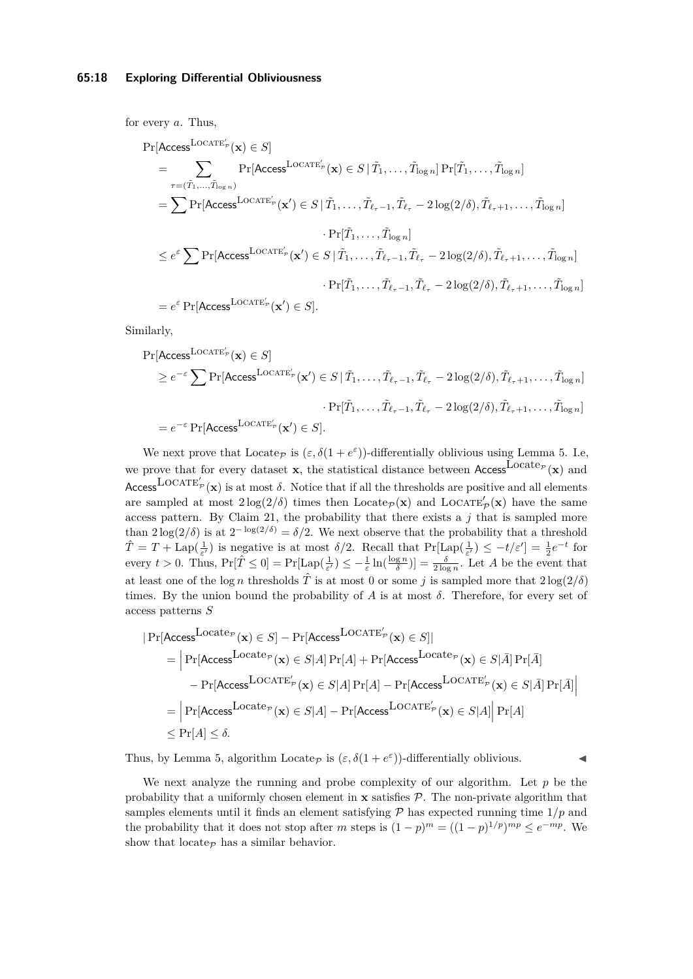for every *a*. Thus,

$$
\Pr[\text{Access}^{\text{LOCATE}_{p}'}(\mathbf{x}) \in S] \n= \sum_{\tau = (\tilde{T}_{1}, \dots, \tilde{T}_{\log n})} \Pr[\text{Access}^{\text{LOCATE}_{p}'}(\mathbf{x}) \in S | \tilde{T}_{1}, \dots, \tilde{T}_{\log n}] \Pr[\tilde{T}_{1}, \dots, \tilde{T}_{\log n}] \n= \sum \Pr[\text{Access}^{\text{LOCATE}_{p}'}(\mathbf{x}') \in S | \tilde{T}_{1}, \dots, \tilde{T}_{\ell_{\tau}-1}, \tilde{T}_{\ell_{\tau}} - 2 \log(2/\delta), \tilde{T}_{\ell_{\tau}+1}, \dots, \tilde{T}_{\log n}] \n\cdot \Pr[\tilde{T}_{1}, \dots, \tilde{T}_{\log n}] \n\leq e^{\varepsilon} \sum \Pr[\text{Access}^{\text{LOCATE}_{p}'}(\mathbf{x}') \in S | \tilde{T}_{1}, \dots, \tilde{T}_{\ell_{\tau}-1}, \tilde{T}_{\ell_{\tau}} - 2 \log(2/\delta), \tilde{T}_{\ell_{\tau}+1}, \dots, \tilde{T}_{\log n}] \n\cdot \Pr[\tilde{T}_{1}, \dots, \tilde{T}_{\ell_{\tau}-1}, \tilde{T}_{\ell_{\tau}} - 2 \log(2/\delta), \tilde{T}_{\ell_{\tau}+1}, \dots, \tilde{T}_{\log n}] \n= e^{\varepsilon} \Pr[\text{Access}^{\text{LOCATE}_{p}'}(\mathbf{x}') \in S].
$$

Similarly,

$$
\Pr[\text{Access}^{\text{LOCATE}_{p}'}(\mathbf{x}) \in S] \ge e^{-\varepsilon} \sum \Pr[\text{Access}^{\text{LOCATE}_{p}'}(\mathbf{x}') \in S | \tilde{T}_1, \dots, \tilde{T}_{\ell_{\tau}-1}, \tilde{T}_{\ell_{\tau}} - 2\log(2/\delta), \tilde{T}_{\ell_{\tau}+1}, \dots, \tilde{T}_{\log n}]
$$

$$
\cdot \Pr[\tilde{T}_1, \dots, \tilde{T}_{\ell_{\tau}-1}, \tilde{T}_{\ell_{\tau}} - 2\log(2/\delta), \tilde{T}_{\ell_{\tau}+1}, \dots, \tilde{T}_{\log n}]
$$

$$
= e^{-\varepsilon} \Pr[\text{Access}^{\text{LOCATE}_{p}'}(\mathbf{x}') \in S].
$$

We next prove that Locate<sub>P</sub> is  $(\varepsilon, \delta(1 + e^{\varepsilon}))$ -differentially oblivious using Lemma [5.](#page-4-1) I.e, we prove that for every dataset **x**, the statistical distance between Access Locate<sub>P</sub> (**x**) and Access LOCATE<sup>'</sup> $p(\mathbf{x})$  is at most  $\delta$ . Notice that if all the thresholds are positive and all elements are sampled at most  $2\log(2/\delta)$  times then Locate<sub>P</sub>(**x**) and LOCATE'<sub>P</sub>(**x**) have the same access pattern. By Claim [21,](#page-16-3) the probability that there exists a  $j$  that is sampled more than  $2\log(2/\delta)$  is at  $2^{-\log(2/\delta)} = \delta/2$ . We next observe that the probability that a threshold  $\hat{T} = T + \text{Lap}(\frac{1}{\varepsilon'})$  is negative is at most  $\delta/2$ . Recall that  $\Pr[\text{Lap}(\frac{1}{\varepsilon'}) \le -t/\varepsilon'] = \frac{1}{2}e^{-t}$  for every  $t > 0$ . Thus,  $Pr[\hat{T} \leq 0] = Pr[Lap(\frac{1}{\varepsilon'}) \leq -\frac{1}{\varepsilon}ln(\frac{\log n}{\delta})] = \frac{\delta}{2 \log n}$ . Let *A* be the event that at least one of the log *n* thresholds  $\hat{T}$  is at most 0 or some *j* is sampled more that  $2\log(2/\delta)$ times. By the union bound the probability of *A* is at most  $\delta$ . Therefore, for every set of access patterns *S*

$$
|\Pr[\text{Access}^{\text{Locate}_{\mathcal{P}}}(\mathbf{x}) \in S] - \Pr[\text{Access}^{\text{LocATE}_{\mathcal{P}}'}(\mathbf{x}) \in S]|
$$
\n
$$
= |\Pr[\text{Access}^{\text{Locate}_{\mathcal{P}}}(\mathbf{x}) \in S|A] \Pr[A] + \Pr[\text{Access}^{\text{Locate}_{\mathcal{P}}}(\mathbf{x}) \in S|\bar{A}] \Pr[\bar{A}]
$$
\n
$$
- \Pr[\text{Access}^{\text{LocATE}_{\mathcal{P}}'}(\mathbf{x}) \in S|A] \Pr[A] - \Pr[\text{Access}^{\text{LocATE}_{\mathcal{P}}'}(\mathbf{x}) \in S|\bar{A}] \Pr[\bar{A}]
$$
\n
$$
= |\Pr[\text{Access}^{\text{Locate}_{\mathcal{P}}}(\mathbf{x}) \in S|A] - \Pr[\text{Access}^{\text{LocATE}_{\mathcal{P}}'}(\mathbf{x}) \in S|A]| \Pr[A]
$$
\n
$$
\leq \Pr[A] \leq \delta.
$$

Thus, by Lemma [5,](#page-4-1) algorithm Locate<sub> $\mathcal{P}$ </sub> is  $(\varepsilon, \delta(1 + e^{\varepsilon}))$ -differentially oblivious.

We next analyze the running and probe complexity of our algorithm. Let  $p$  be the probability that a uniformly chosen element in  $\bf{x}$  satisfies  $\mathcal{P}$ . The non-private algorithm that samples elements until it finds an element satisfying  $P$  has expected running time  $1/p$  and the probability that it does not stop after *m* steps is  $(1-p)^m = ((1-p)^{1/p})^{mp} \le e^{-mp}$ . We show that locate $\varphi$  has a similar behavior.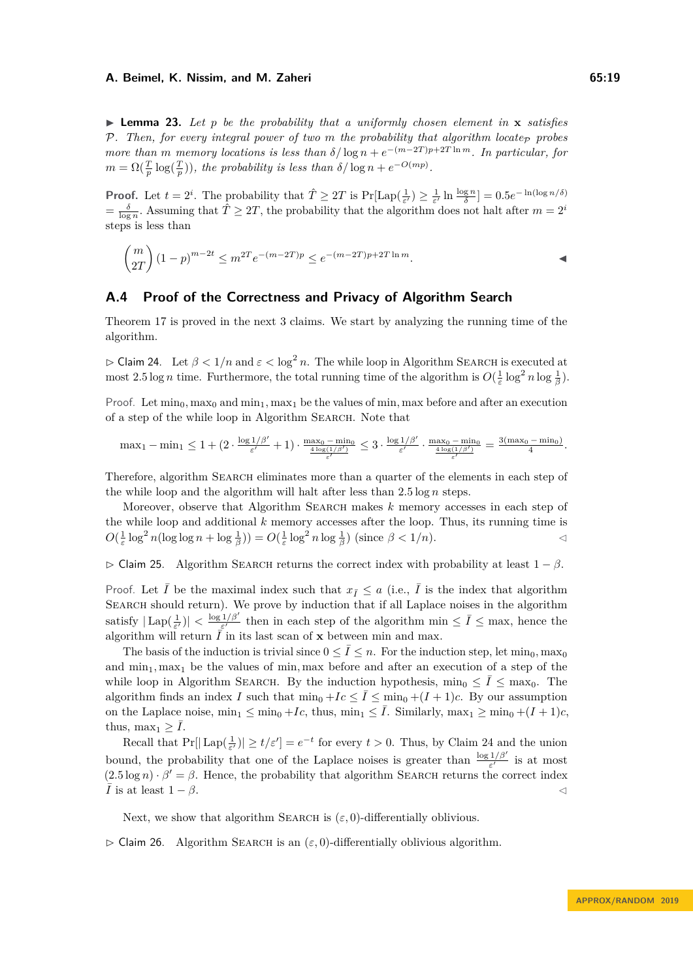$\blacktriangleright$  **Lemma 23.** Let p be the probability that a uniformly chosen element in **x** satisfies *P.* Then, for every integral power of two m the probability that algorithm locate<sub>P</sub> probes *more than m memory locations is less than*  $\delta/\log n + e^{-(m-2T)p+2T \ln m}$ . In particular, for  $m = \Omega(\frac{T}{p} \log(\frac{T}{p}))$ , the probability is less than  $\delta/\log n + e^{-O(mp)}$ .

**Proof.** Let  $t = 2^i$ . The probability that  $\hat{T} \ge 2T$  is  $Pr[Lap(\frac{1}{\varepsilon'}) \ge \frac{1}{\varepsilon'} \ln \frac{\log n}{\delta}] = 0.5e^{-\ln(\log n/\delta)}$  $\frac{\delta}{\log n}$ . Assuming that  $\hat{T} \geq 2T$ , the probability that the algorithm does not halt after  $m = 2^i$ steps is less than

$$
\binom{m}{2T} (1-p)^{m-2t} \le m^{2T} e^{-(m-2T)p} \le e^{-(m-2T)p + 2T \ln m}.
$$

### <span id="page-18-0"></span>**A.4 Proof of the Correctness and Privacy of Algorithm Search**

Theorem [17](#page-11-1) is proved in the next 3 claims. We start by analyzing the running time of the algorithm.

<span id="page-18-1"></span> $\triangleright$  Claim 24. Let  $\beta < 1/n$  and  $\varepsilon < \log^2 n$ . The while loop in Algorithm SEARCH is executed at most 2.5 log *n* time. Furthermore, the total running time of the algorithm is  $O(\frac{1}{\varepsilon} \log^2 n \log \frac{1}{\beta})$ .

Proof. Let  $\min_0, \max_0$  and  $\min_1, \max_1$  be the values of min, max before and after an execution of a step of the while loop in Algorithm Search. Note that

$$
\max_1 - \min_1 \le 1 + (2 \cdot \frac{\log 1/\beta'}{\varepsilon'} + 1) \cdot \frac{\max_0 - \min_0}{\frac{4 \log(1/\beta')}{\varepsilon'}} \le 3 \cdot \frac{\log 1/\beta'}{\varepsilon'} \cdot \frac{\max_0 - \min_0}{\frac{4 \log(1/\beta')}{\varepsilon'}} = \frac{3(\max_0 - \min_0)}{4}.
$$

Therefore, algorithm SEARCH eliminates more than a quarter of the elements in each step of the while loop and the algorithm will halt after less than 2*.*5 log *n* steps.

Moreover, observe that Algorithm SEARCH makes *k* memory accesses in each step of the while loop and additional *k* memory accesses after the loop. Thus, its running time is  $O(\frac{1}{\varepsilon} \log^2 n(\log \log n + \log \frac{1}{\beta})) = O(\frac{1}{\varepsilon} \log^2 n \log \frac{1}{\beta})$  (since  $\beta < 1/n$ ).

 $\triangleright$  Claim 25. Algorithm SEARCH returns the correct index with probability at least  $1 - \beta$ .

Proof. Let  $\overline{I}$  be the maximal index such that  $x_{\overline{I}} \leq a$  (i.e.,  $\overline{I}$  is the index that algorithm SEARCH should return). We prove by induction that if all Laplace noises in the algorithm satisfy  $|\text{Lap}(\frac{1}{\varepsilon'})| < \frac{\log 1/\beta'}{\varepsilon'}$  $\frac{1/\beta'}{\varepsilon'}$  then in each step of the algorithm min  $\leq \bar{I} \leq$  max, hence the algorithm will return  $\overline{I}$  in its last scan of **x** between min and max.

The basis of the induction is trivial since  $0 \leq \bar{I} \leq n$ . For the induction step, let min<sub>0</sub>, max<sub>0</sub> and  $\min_1, \max_1$  be the values of min, max before and after an execution of a step of the while loop in Algorithm SEARCH. By the induction hypothesis,  $\min_0 \leq \overline{I} \leq \max_0$ . The algorithm finds an index *I* such that  $\min_0 + I_c \leq \overline{I} \leq \min_0 + (I + 1)c$ . By our assumption on the Laplace noise,  $\min_1 \leq \min_0 +I_c$ , thus,  $\min_1 \leq \overline{I}$ . Similarly,  $\max_1 \geq \min_0 + (I+1)c$ , thus, max<sub>1</sub>  $> I$ .

Recall that  $Pr[|\text{Lap}(\frac{1}{\varepsilon'})| \ge t/\varepsilon'] = e^{-t}$  for every  $t > 0$ . Thus, by Claim [24](#page-18-1) and the union bound, the probability that one of the Laplace noises is greater than  $\frac{\log 1/\beta'}{\varepsilon'}$  is at most  $(2.5 \log n) \cdot \beta' = \beta$ . Hence, the probability that algorithm SEARCH returns the correct index  $\overline{I}$  is at least  $1 - \beta$ .

Next, we show that algorithm SEARCH is  $(\varepsilon, 0)$ -differentially oblivious.

 $\triangleright$  Claim 26. Algorithm SEARCH is an  $(\varepsilon, 0)$ -differentially oblivious algorithm.